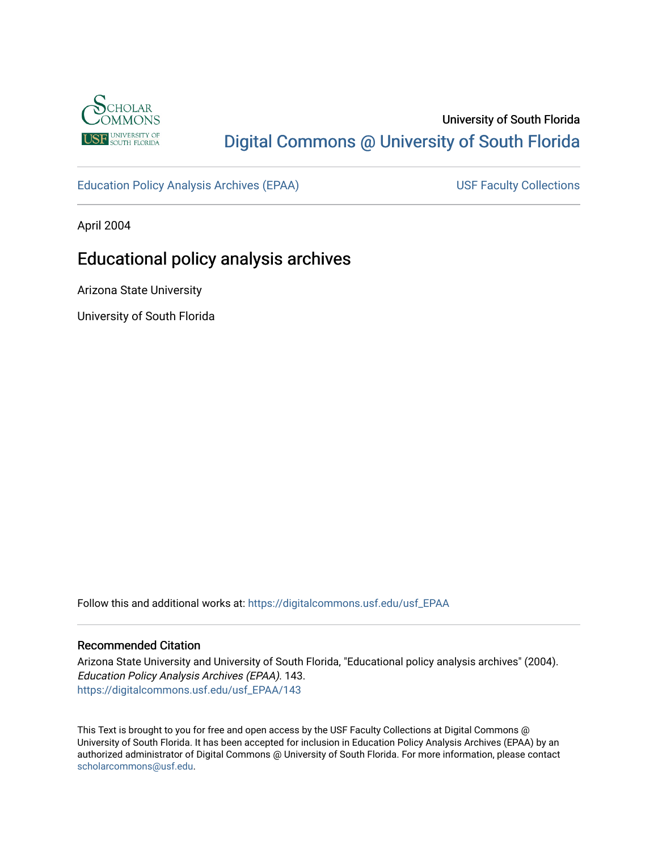

# University of South Florida [Digital Commons @ University of South Florida](https://digitalcommons.usf.edu/)

[Education Policy Analysis Archives \(EPAA\)](https://digitalcommons.usf.edu/usf_EPAA) USF Faculty Collections

April 2004

# Educational policy analysis archives

Arizona State University

University of South Florida

Follow this and additional works at: [https://digitalcommons.usf.edu/usf\\_EPAA](https://digitalcommons.usf.edu/usf_EPAA?utm_source=digitalcommons.usf.edu%2Fusf_EPAA%2F143&utm_medium=PDF&utm_campaign=PDFCoverPages)

#### Recommended Citation

Arizona State University and University of South Florida, "Educational policy analysis archives" (2004). Education Policy Analysis Archives (EPAA). 143. [https://digitalcommons.usf.edu/usf\\_EPAA/143](https://digitalcommons.usf.edu/usf_EPAA/143?utm_source=digitalcommons.usf.edu%2Fusf_EPAA%2F143&utm_medium=PDF&utm_campaign=PDFCoverPages)

This Text is brought to you for free and open access by the USF Faculty Collections at Digital Commons @ University of South Florida. It has been accepted for inclusion in Education Policy Analysis Archives (EPAA) by an authorized administrator of Digital Commons @ University of South Florida. For more information, please contact [scholarcommons@usf.edu.](mailto:scholarcommons@usf.edu)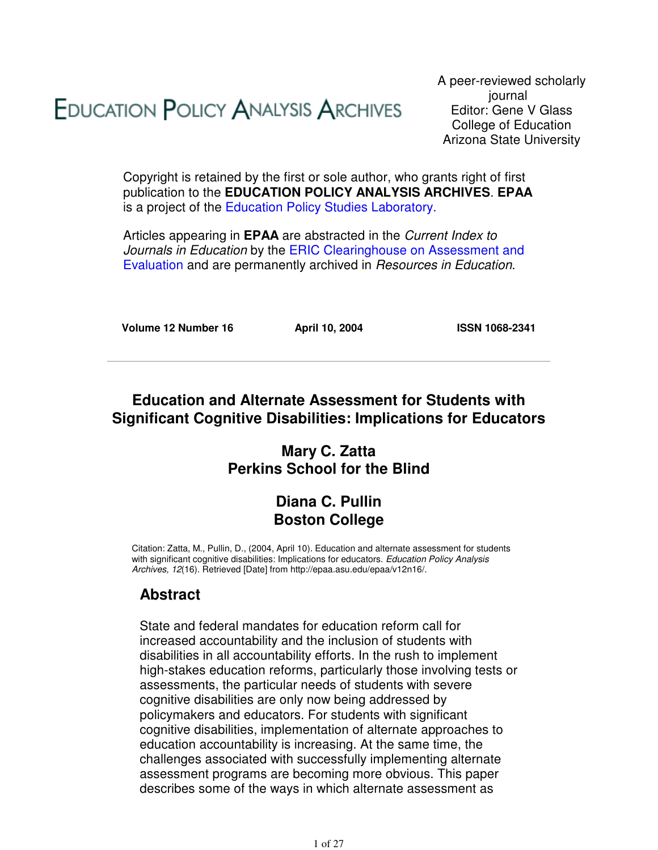# **EDUCATION POLICY ANALYSIS ARCHIVES**

A peer-reviewed scholarly journal Editor: Gene V Glass College of Education Arizona State University

Copyright is retained by the first or sole author, who grants right of first publication to the **EDUCATION POLICY ANALYSIS ARCHIVES**. **EPAA** is a project of the Education Policy Studies Laboratory.

Articles appearing in **EPAA** are abstracted in the Current Index to Journals in Education by the ERIC Clearinghouse on Assessment and Evaluation and are permanently archived in Resources in Education.

**Volume 12 Number 16 April 10, 2004 ISSN 1068-2341**

### **Education and Alternate Assessment for Students with Significant Cognitive Disabilities: Implications for Educators**

### **Mary C. Zatta Perkins School for the Blind**

### **Diana C. Pullin Boston College**

Citation: Zatta, M., Pullin, D., (2004, April 10). Education and alternate assessment for students with significant cognitive disabilities: Implications for educators. Education Policy Analysis Archives, 12(16). Retrieved [Date] from http://epaa.asu.edu/epaa/v12n16/.

### **Abstract**

State and federal mandates for education reform call for increased accountability and the inclusion of students with disabilities in all accountability efforts. In the rush to implement high-stakes education reforms, particularly those involving tests or assessments, the particular needs of students with severe cognitive disabilities are only now being addressed by policymakers and educators. For students with significant cognitive disabilities, implementation of alternate approaches to education accountability is increasing. At the same time, the challenges associated with successfully implementing alternate assessment programs are becoming more obvious. This paper describes some of the ways in which alternate assessment as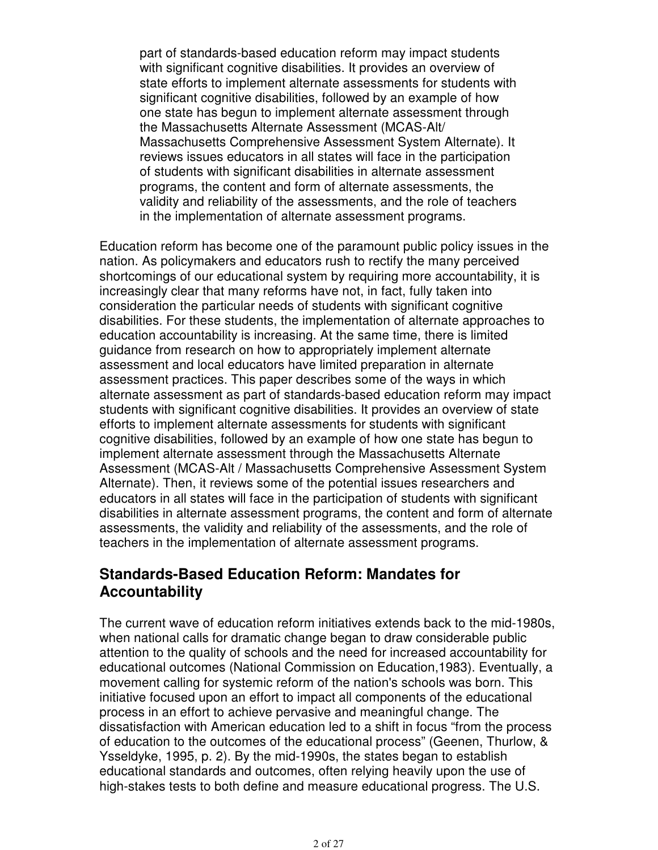part of standards-based education reform may impact students with significant cognitive disabilities. It provides an overview of state efforts to implement alternate assessments for students with significant cognitive disabilities, followed by an example of how one state has begun to implement alternate assessment through the Massachusetts Alternate Assessment (MCAS-Alt/ Massachusetts Comprehensive Assessment System Alternate). It reviews issues educators in all states will face in the participation of students with significant disabilities in alternate assessment programs, the content and form of alternate assessments, the validity and reliability of the assessments, and the role of teachers in the implementation of alternate assessment programs.

Education reform has become one of the paramount public policy issues in the nation. As policymakers and educators rush to rectify the many perceived shortcomings of our educational system by requiring more accountability, it is increasingly clear that many reforms have not, in fact, fully taken into consideration the particular needs of students with significant cognitive disabilities. For these students, the implementation of alternate approaches to education accountability is increasing. At the same time, there is limited guidance from research on how to appropriately implement alternate assessment and local educators have limited preparation in alternate assessment practices. This paper describes some of the ways in which alternate assessment as part of standards-based education reform may impact students with significant cognitive disabilities. It provides an overview of state efforts to implement alternate assessments for students with significant cognitive disabilities, followed by an example of how one state has begun to implement alternate assessment through the Massachusetts Alternate Assessment (MCAS-Alt / Massachusetts Comprehensive Assessment System Alternate). Then, it reviews some of the potential issues researchers and educators in all states will face in the participation of students with significant disabilities in alternate assessment programs, the content and form of alternate assessments, the validity and reliability of the assessments, and the role of teachers in the implementation of alternate assessment programs.

#### **Standards-Based Education Reform: Mandates for Accountability**

The current wave of education reform initiatives extends back to the mid-1980s, when national calls for dramatic change began to draw considerable public attention to the quality of schools and the need for increased accountability for educational outcomes (National Commission on Education,1983). Eventually, a movement calling for systemic reform of the nation's schools was born. This initiative focused upon an effort to impact all components of the educational process in an effort to achieve pervasive and meaningful change. The dissatisfaction with American education led to a shift in focus "from the process of education to the outcomes of the educational process" (Geenen, Thurlow, & Ysseldyke, 1995, p. 2). By the mid-1990s, the states began to establish educational standards and outcomes, often relying heavily upon the use of high-stakes tests to both define and measure educational progress. The U.S.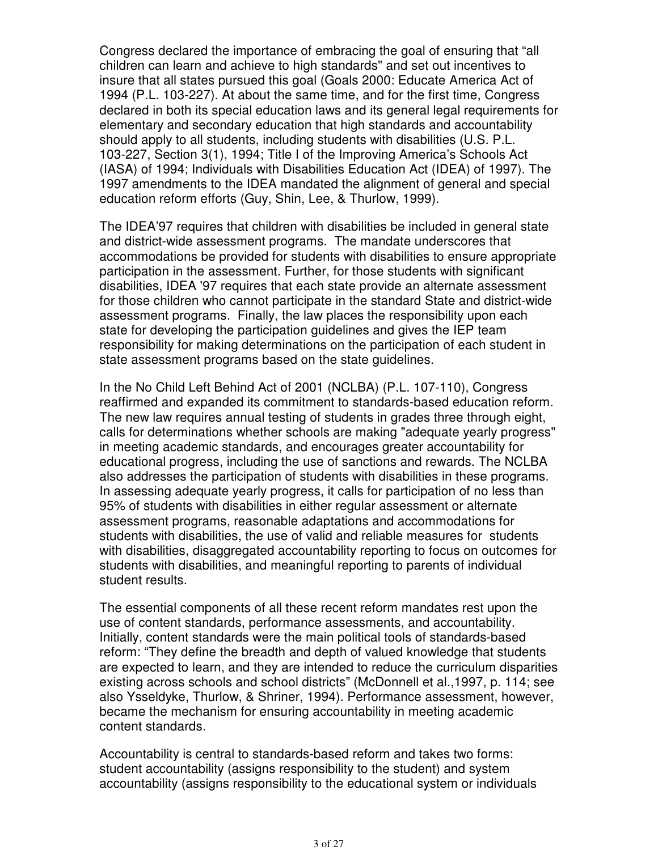Congress declared the importance of embracing the goal of ensuring that "all children can learn and achieve to high standards" and set out incentives to insure that all states pursued this goal (Goals 2000: Educate America Act of 1994 (P.L. 103-227). At about the same time, and for the first time, Congress declared in both its special education laws and its general legal requirements for elementary and secondary education that high standards and accountability should apply to all students, including students with disabilities (U.S. P.L. 103-227, Section 3(1), 1994; Title I of the Improving America's Schools Act (IASA) of 1994; Individuals with Disabilities Education Act (IDEA) of 1997). The 1997 amendments to the IDEA mandated the alignment of general and special education reform efforts (Guy, Shin, Lee, & Thurlow, 1999).

The IDEA'97 requires that children with disabilities be included in general state and district-wide assessment programs. The mandate underscores that accommodations be provided for students with disabilities to ensure appropriate participation in the assessment. Further, for those students with significant disabilities, IDEA '97 requires that each state provide an alternate assessment for those children who cannot participate in the standard State and district-wide assessment programs. Finally, the law places the responsibility upon each state for developing the participation guidelines and gives the IEP team responsibility for making determinations on the participation of each student in state assessment programs based on the state guidelines.

In the No Child Left Behind Act of 2001 (NCLBA) (P.L. 107-110), Congress reaffirmed and expanded its commitment to standards-based education reform. The new law requires annual testing of students in grades three through eight, calls for determinations whether schools are making "adequate yearly progress" in meeting academic standards, and encourages greater accountability for educational progress, including the use of sanctions and rewards. The NCLBA also addresses the participation of students with disabilities in these programs. In assessing adequate yearly progress, it calls for participation of no less than 95% of students with disabilities in either regular assessment or alternate assessment programs, reasonable adaptations and accommodations for students with disabilities, the use of valid and reliable measures for students with disabilities, disaggregated accountability reporting to focus on outcomes for students with disabilities, and meaningful reporting to parents of individual student results.

The essential components of all these recent reform mandates rest upon the use of content standards, performance assessments, and accountability. Initially, content standards were the main political tools of standards-based reform: "They define the breadth and depth of valued knowledge that students are expected to learn, and they are intended to reduce the curriculum disparities existing across schools and school districts" (McDonnell et al.,1997, p. 114; see also Ysseldyke, Thurlow, & Shriner, 1994). Performance assessment, however, became the mechanism for ensuring accountability in meeting academic content standards.

Accountability is central to standards-based reform and takes two forms: student accountability (assigns responsibility to the student) and system accountability (assigns responsibility to the educational system or individuals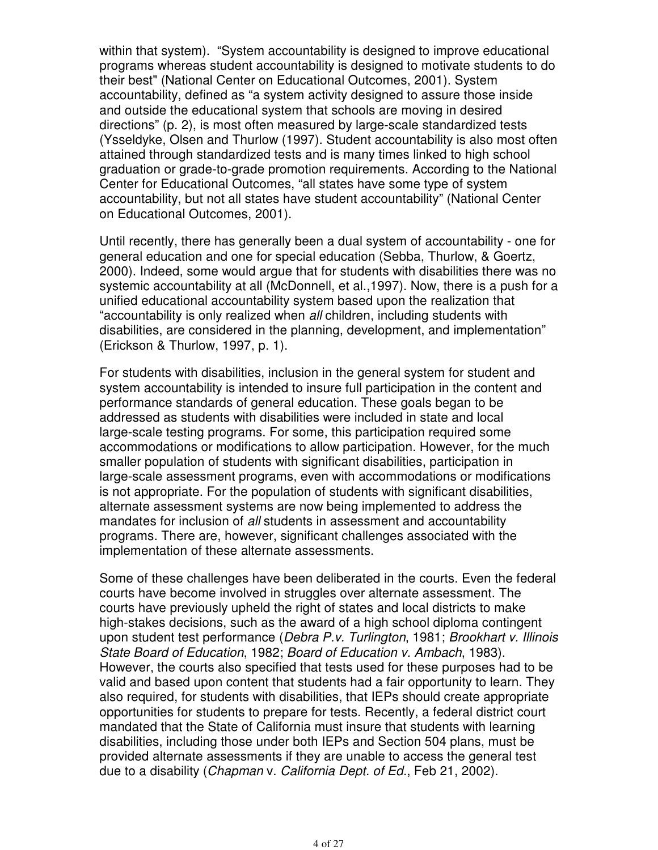within that system). "System accountability is designed to improve educational programs whereas student accountability is designed to motivate students to do their best" (National Center on Educational Outcomes, 2001). System accountability, defined as "a system activity designed to assure those inside and outside the educational system that schools are moving in desired directions" (p. 2), is most often measured by large-scale standardized tests (Ysseldyke, Olsen and Thurlow (1997). Student accountability is also most often attained through standardized tests and is many times linked to high school graduation or grade-to-grade promotion requirements. According to the National Center for Educational Outcomes, "all states have some type of system accountability, but not all states have student accountability" (National Center on Educational Outcomes, 2001).

Until recently, there has generally been a dual system of accountability - one for general education and one for special education (Sebba, Thurlow, & Goertz, 2000). Indeed, some would argue that for students with disabilities there was no systemic accountability at all (McDonnell, et al.,1997). Now, there is a push for a unified educational accountability system based upon the realization that "accountability is only realized when all children, including students with disabilities, are considered in the planning, development, and implementation" (Erickson & Thurlow, 1997, p. 1).

For students with disabilities, inclusion in the general system for student and system accountability is intended to insure full participation in the content and performance standards of general education. These goals began to be addressed as students with disabilities were included in state and local large-scale testing programs. For some, this participation required some accommodations or modifications to allow participation. However, for the much smaller population of students with significant disabilities, participation in large-scale assessment programs, even with accommodations or modifications is not appropriate. For the population of students with significant disabilities, alternate assessment systems are now being implemented to address the mandates for inclusion of all students in assessment and accountability programs. There are, however, significant challenges associated with the implementation of these alternate assessments.

Some of these challenges have been deliberated in the courts. Even the federal courts have become involved in struggles over alternate assessment. The courts have previously upheld the right of states and local districts to make high-stakes decisions, such as the award of a high school diploma contingent upon student test performance (Debra P.v. Turlington, 1981; Brookhart v. Illinois State Board of Education, 1982; Board of Education v. Ambach, 1983). However, the courts also specified that tests used for these purposes had to be valid and based upon content that students had a fair opportunity to learn. They also required, for students with disabilities, that IEPs should create appropriate opportunities for students to prepare for tests. Recently, a federal district court mandated that the State of California must insure that students with learning disabilities, including those under both IEPs and Section 504 plans, must be provided alternate assessments if they are unable to access the general test due to a disability (Chapman v. California Dept. of Ed., Feb 21, 2002).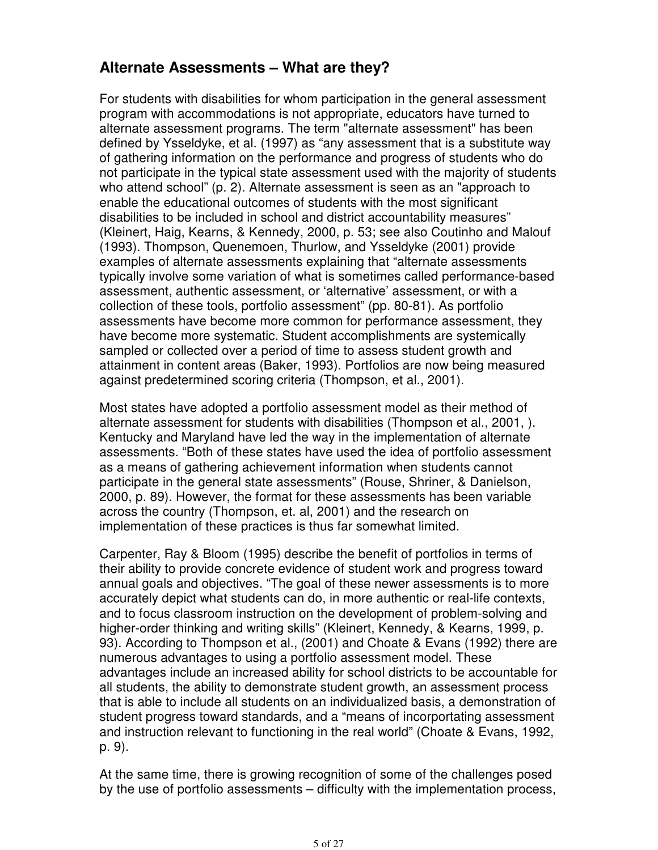## **Alternate Assessments – What are they?**

For students with disabilities for whom participation in the general assessment program with accommodations is not appropriate, educators have turned to alternate assessment programs. The term "alternate assessment" has been defined by Ysseldyke, et al. (1997) as "any assessment that is a substitute way of gathering information on the performance and progress of students who do not participate in the typical state assessment used with the majority of students who attend school" (p. 2). Alternate assessment is seen as an "approach to enable the educational outcomes of students with the most significant disabilities to be included in school and district accountability measures" (Kleinert, Haig, Kearns, & Kennedy, 2000, p. 53; see also Coutinho and Malouf (1993). Thompson, Quenemoen, Thurlow, and Ysseldyke (2001) provide examples of alternate assessments explaining that "alternate assessments typically involve some variation of what is sometimes called performance-based assessment, authentic assessment, or 'alternative' assessment, or with a collection of these tools, portfolio assessment" (pp. 80-81). As portfolio assessments have become more common for performance assessment, they have become more systematic. Student accomplishments are systemically sampled or collected over a period of time to assess student growth and attainment in content areas (Baker, 1993). Portfolios are now being measured against predetermined scoring criteria (Thompson, et al., 2001).

Most states have adopted a portfolio assessment model as their method of alternate assessment for students with disabilities (Thompson et al., 2001, ). Kentucky and Maryland have led the way in the implementation of alternate assessments. "Both of these states have used the idea of portfolio assessment as a means of gathering achievement information when students cannot participate in the general state assessments" (Rouse, Shriner, & Danielson, 2000, p. 89). However, the format for these assessments has been variable across the country (Thompson, et. al, 2001) and the research on implementation of these practices is thus far somewhat limited.

Carpenter, Ray & Bloom (1995) describe the benefit of portfolios in terms of their ability to provide concrete evidence of student work and progress toward annual goals and objectives. "The goal of these newer assessments is to more accurately depict what students can do, in more authentic or real-life contexts, and to focus classroom instruction on the development of problem-solving and higher-order thinking and writing skills" (Kleinert, Kennedy, & Kearns, 1999, p. 93). According to Thompson et al., (2001) and Choate & Evans (1992) there are numerous advantages to using a portfolio assessment model. These advantages include an increased ability for school districts to be accountable for all students, the ability to demonstrate student growth, an assessment process that is able to include all students on an individualized basis, a demonstration of student progress toward standards, and a "means of incorportating assessment and instruction relevant to functioning in the real world" (Choate & Evans, 1992, p. 9).

At the same time, there is growing recognition of some of the challenges posed by the use of portfolio assessments – difficulty with the implementation process,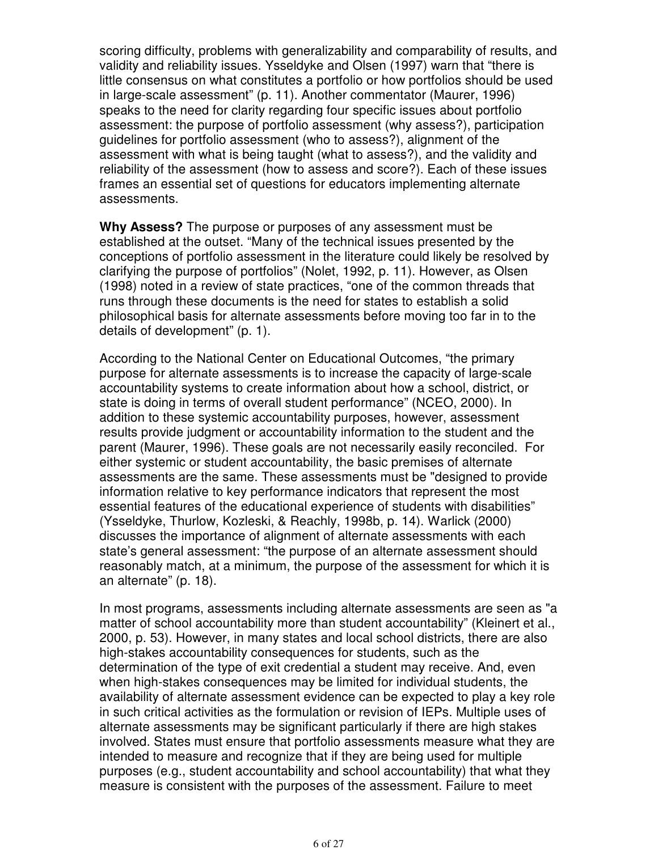scoring difficulty, problems with generalizability and comparability of results, and validity and reliability issues. Ysseldyke and Olsen (1997) warn that "there is little consensus on what constitutes a portfolio or how portfolios should be used in large-scale assessment" (p. 11). Another commentator (Maurer, 1996) speaks to the need for clarity regarding four specific issues about portfolio assessment: the purpose of portfolio assessment (why assess?), participation guidelines for portfolio assessment (who to assess?), alignment of the assessment with what is being taught (what to assess?), and the validity and reliability of the assessment (how to assess and score?). Each of these issues frames an essential set of questions for educators implementing alternate assessments.

**Why Assess?** The purpose or purposes of any assessment must be established at the outset. "Many of the technical issues presented by the conceptions of portfolio assessment in the literature could likely be resolved by clarifying the purpose of portfolios" (Nolet, 1992, p. 11). However, as Olsen (1998) noted in a review of state practices, "one of the common threads that runs through these documents is the need for states to establish a solid philosophical basis for alternate assessments before moving too far in to the details of development" (p. 1).

According to the National Center on Educational Outcomes, "the primary purpose for alternate assessments is to increase the capacity of large-scale accountability systems to create information about how a school, district, or state is doing in terms of overall student performance" (NCEO, 2000). In addition to these systemic accountability purposes, however, assessment results provide judgment or accountability information to the student and the parent (Maurer, 1996). These goals are not necessarily easily reconciled. For either systemic or student accountability, the basic premises of alternate assessments are the same. These assessments must be "designed to provide information relative to key performance indicators that represent the most essential features of the educational experience of students with disabilities" (Ysseldyke, Thurlow, Kozleski, & Reachly, 1998b, p. 14). Warlick (2000) discusses the importance of alignment of alternate assessments with each state's general assessment: "the purpose of an alternate assessment should reasonably match, at a minimum, the purpose of the assessment for which it is an alternate" (p. 18).

In most programs, assessments including alternate assessments are seen as "a matter of school accountability more than student accountability" (Kleinert et al., 2000, p. 53). However, in many states and local school districts, there are also high-stakes accountability consequences for students, such as the determination of the type of exit credential a student may receive. And, even when high-stakes consequences may be limited for individual students, the availability of alternate assessment evidence can be expected to play a key role in such critical activities as the formulation or revision of IEPs. Multiple uses of alternate assessments may be significant particularly if there are high stakes involved. States must ensure that portfolio assessments measure what they are intended to measure and recognize that if they are being used for multiple purposes (e.g., student accountability and school accountability) that what they measure is consistent with the purposes of the assessment. Failure to meet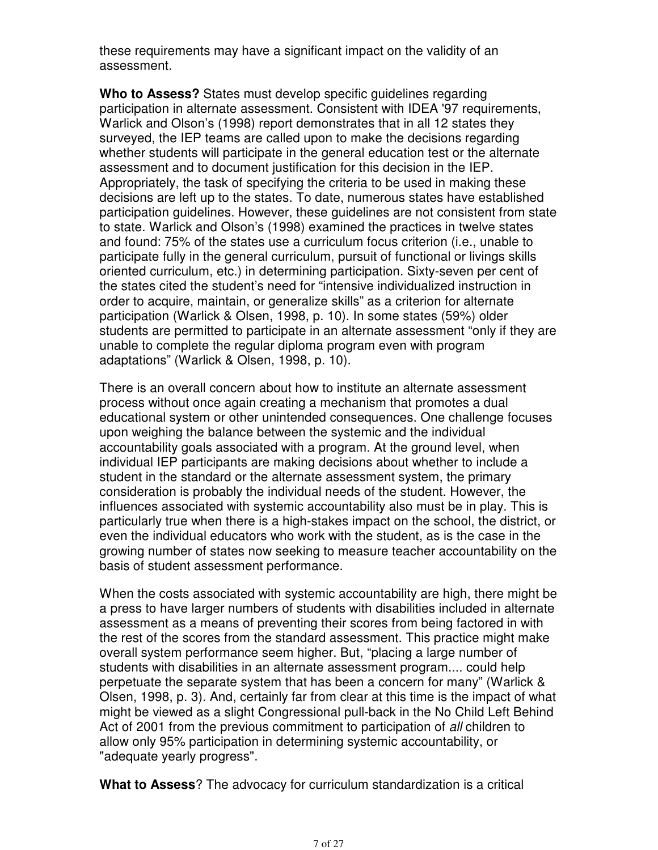these requirements may have a significant impact on the validity of an assessment.

**Who to Assess?** States must develop specific guidelines regarding participation in alternate assessment. Consistent with IDEA '97 requirements, Warlick and Olson's (1998) report demonstrates that in all 12 states they surveyed, the IEP teams are called upon to make the decisions regarding whether students will participate in the general education test or the alternate assessment and to document justification for this decision in the IEP. Appropriately, the task of specifying the criteria to be used in making these decisions are left up to the states. To date, numerous states have established participation guidelines. However, these guidelines are not consistent from state to state. Warlick and Olson's (1998) examined the practices in twelve states and found: 75% of the states use a curriculum focus criterion (i.e., unable to participate fully in the general curriculum, pursuit of functional or livings skills oriented curriculum, etc.) in determining participation. Sixty-seven per cent of the states cited the student's need for "intensive individualized instruction in order to acquire, maintain, or generalize skills" as a criterion for alternate participation (Warlick & Olsen, 1998, p. 10). In some states (59%) older students are permitted to participate in an alternate assessment "only if they are unable to complete the regular diploma program even with program adaptations" (Warlick & Olsen, 1998, p. 10).

There is an overall concern about how to institute an alternate assessment process without once again creating a mechanism that promotes a dual educational system or other unintended consequences. One challenge focuses upon weighing the balance between the systemic and the individual accountability goals associated with a program. At the ground level, when individual IEP participants are making decisions about whether to include a student in the standard or the alternate assessment system, the primary consideration is probably the individual needs of the student. However, the influences associated with systemic accountability also must be in play. This is particularly true when there is a high-stakes impact on the school, the district, or even the individual educators who work with the student, as is the case in the growing number of states now seeking to measure teacher accountability on the basis of student assessment performance.

When the costs associated with systemic accountability are high, there might be a press to have larger numbers of students with disabilities included in alternate assessment as a means of preventing their scores from being factored in with the rest of the scores from the standard assessment. This practice might make overall system performance seem higher. But, "placing a large number of students with disabilities in an alternate assessment program.... could help perpetuate the separate system that has been a concern for many" (Warlick & Olsen, 1998, p. 3). And, certainly far from clear at this time is the impact of what might be viewed as a slight Congressional pull-back in the No Child Left Behind Act of 2001 from the previous commitment to participation of all children to allow only 95% participation in determining systemic accountability, or "adequate yearly progress".

**What to Assess**? The advocacy for curriculum standardization is a critical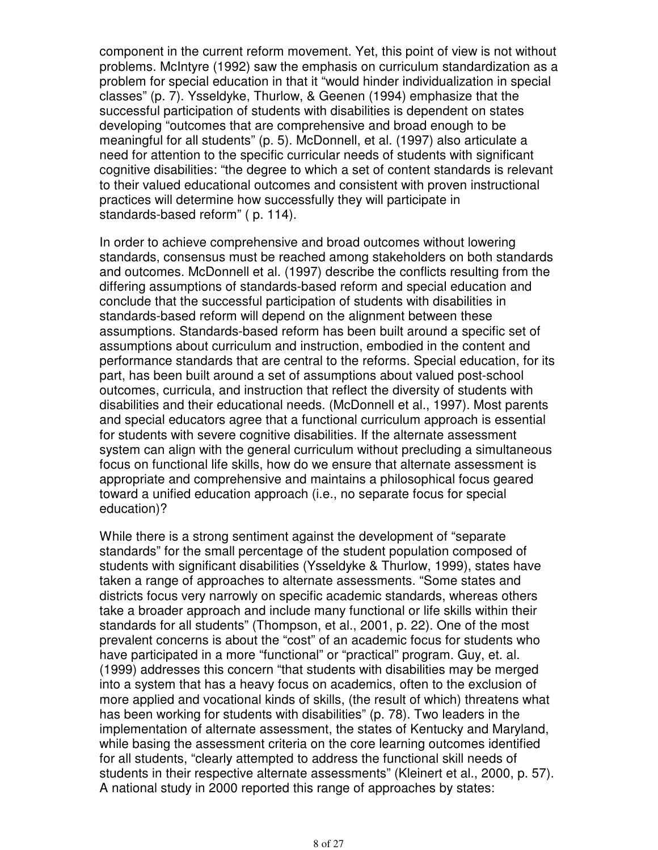component in the current reform movement. Yet, this point of view is not without problems. McIntyre (1992) saw the emphasis on curriculum standardization as a problem for special education in that it "would hinder individualization in special classes" (p. 7). Ysseldyke, Thurlow, & Geenen (1994) emphasize that the successful participation of students with disabilities is dependent on states developing "outcomes that are comprehensive and broad enough to be meaningful for all students" (p. 5). McDonnell, et al. (1997) also articulate a need for attention to the specific curricular needs of students with significant cognitive disabilities: "the degree to which a set of content standards is relevant to their valued educational outcomes and consistent with proven instructional practices will determine how successfully they will participate in standards-based reform" ( p. 114).

In order to achieve comprehensive and broad outcomes without lowering standards, consensus must be reached among stakeholders on both standards and outcomes. McDonnell et al. (1997) describe the conflicts resulting from the differing assumptions of standards-based reform and special education and conclude that the successful participation of students with disabilities in standards-based reform will depend on the alignment between these assumptions. Standards-based reform has been built around a specific set of assumptions about curriculum and instruction, embodied in the content and performance standards that are central to the reforms. Special education, for its part, has been built around a set of assumptions about valued post-school outcomes, curricula, and instruction that reflect the diversity of students with disabilities and their educational needs. (McDonnell et al., 1997). Most parents and special educators agree that a functional curriculum approach is essential for students with severe cognitive disabilities. If the alternate assessment system can align with the general curriculum without precluding a simultaneous focus on functional life skills, how do we ensure that alternate assessment is appropriate and comprehensive and maintains a philosophical focus geared toward a unified education approach (i.e., no separate focus for special education)?

While there is a strong sentiment against the development of "separate standards" for the small percentage of the student population composed of students with significant disabilities (Ysseldyke & Thurlow, 1999), states have taken a range of approaches to alternate assessments. "Some states and districts focus very narrowly on specific academic standards, whereas others take a broader approach and include many functional or life skills within their standards for all students" (Thompson, et al., 2001, p. 22). One of the most prevalent concerns is about the "cost" of an academic focus for students who have participated in a more "functional" or "practical" program. Guy, et. al. (1999) addresses this concern "that students with disabilities may be merged into a system that has a heavy focus on academics, often to the exclusion of more applied and vocational kinds of skills, (the result of which) threatens what has been working for students with disabilities" (p. 78). Two leaders in the implementation of alternate assessment, the states of Kentucky and Maryland, while basing the assessment criteria on the core learning outcomes identified for all students, "clearly attempted to address the functional skill needs of students in their respective alternate assessments" (Kleinert et al., 2000, p. 57). A national study in 2000 reported this range of approaches by states: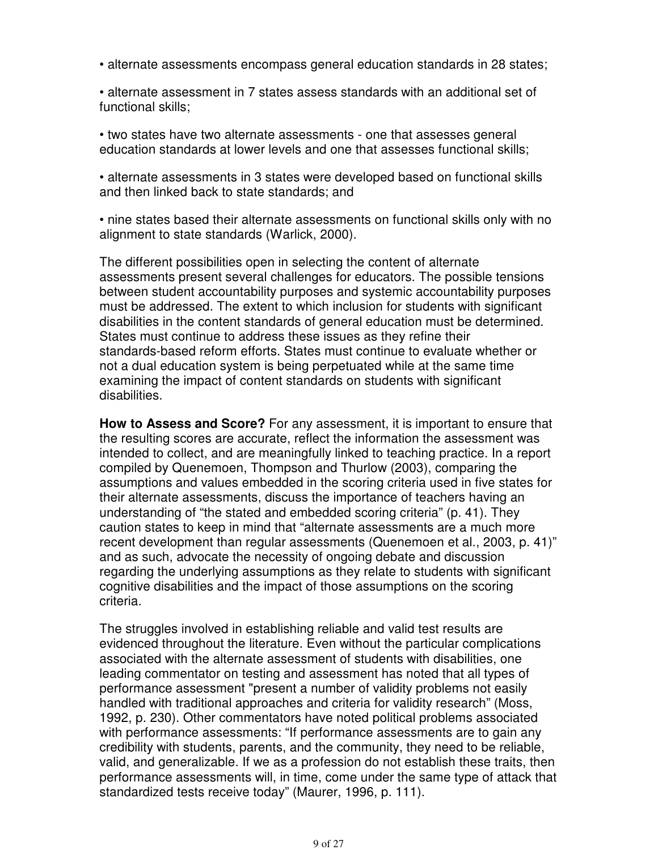• alternate assessments encompass general education standards in 28 states;

• alternate assessment in 7 states assess standards with an additional set of functional skills;

• two states have two alternate assessments - one that assesses general education standards at lower levels and one that assesses functional skills;

• alternate assessments in 3 states were developed based on functional skills and then linked back to state standards; and

• nine states based their alternate assessments on functional skills only with no alignment to state standards (Warlick, 2000).

The different possibilities open in selecting the content of alternate assessments present several challenges for educators. The possible tensions between student accountability purposes and systemic accountability purposes must be addressed. The extent to which inclusion for students with significant disabilities in the content standards of general education must be determined. States must continue to address these issues as they refine their standards-based reform efforts. States must continue to evaluate whether or not a dual education system is being perpetuated while at the same time examining the impact of content standards on students with significant disabilities.

**How to Assess and Score?** For any assessment, it is important to ensure that the resulting scores are accurate, reflect the information the assessment was intended to collect, and are meaningfully linked to teaching practice. In a report compiled by Quenemoen, Thompson and Thurlow (2003), comparing the assumptions and values embedded in the scoring criteria used in five states for their alternate assessments, discuss the importance of teachers having an understanding of "the stated and embedded scoring criteria" (p. 41). They caution states to keep in mind that "alternate assessments are a much more recent development than regular assessments (Quenemoen et al., 2003, p. 41)" and as such, advocate the necessity of ongoing debate and discussion regarding the underlying assumptions as they relate to students with significant cognitive disabilities and the impact of those assumptions on the scoring criteria.

The struggles involved in establishing reliable and valid test results are evidenced throughout the literature. Even without the particular complications associated with the alternate assessment of students with disabilities, one leading commentator on testing and assessment has noted that all types of performance assessment "present a number of validity problems not easily handled with traditional approaches and criteria for validity research" (Moss, 1992, p. 230). Other commentators have noted political problems associated with performance assessments: "If performance assessments are to gain any credibility with students, parents, and the community, they need to be reliable, valid, and generalizable. If we as a profession do not establish these traits, then performance assessments will, in time, come under the same type of attack that standardized tests receive today" (Maurer, 1996, p. 111).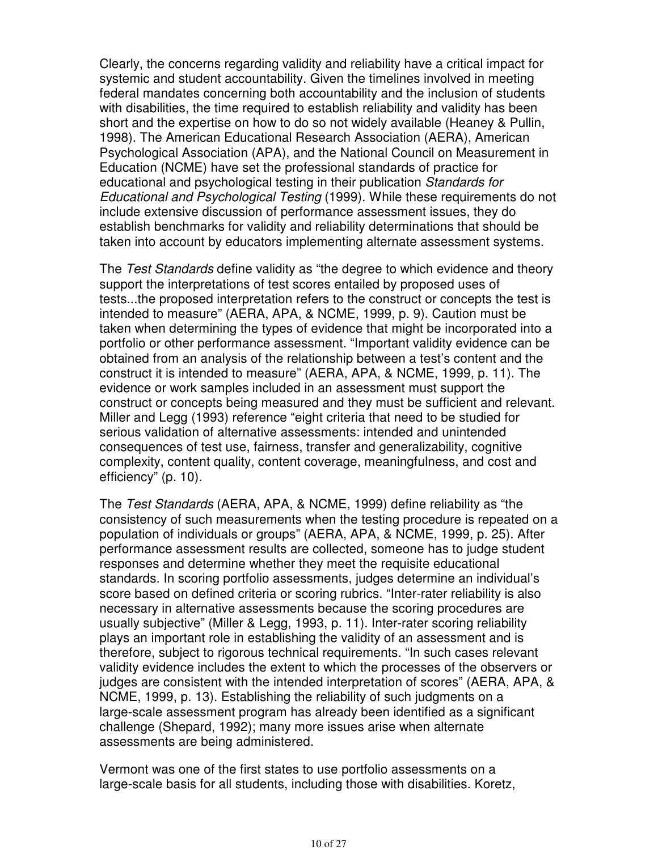Clearly, the concerns regarding validity and reliability have a critical impact for systemic and student accountability. Given the timelines involved in meeting federal mandates concerning both accountability and the inclusion of students with disabilities, the time required to establish reliability and validity has been short and the expertise on how to do so not widely available (Heaney & Pullin, 1998). The American Educational Research Association (AERA), American Psychological Association (APA), and the National Council on Measurement in Education (NCME) have set the professional standards of practice for educational and psychological testing in their publication Standards for Educational and Psychological Testing (1999). While these requirements do not include extensive discussion of performance assessment issues, they do establish benchmarks for validity and reliability determinations that should be taken into account by educators implementing alternate assessment systems.

The Test Standards define validity as "the degree to which evidence and theory" support the interpretations of test scores entailed by proposed uses of tests...the proposed interpretation refers to the construct or concepts the test is intended to measure" (AERA, APA, & NCME, 1999, p. 9). Caution must be taken when determining the types of evidence that might be incorporated into a portfolio or other performance assessment. "Important validity evidence can be obtained from an analysis of the relationship between a test's content and the construct it is intended to measure" (AERA, APA, & NCME, 1999, p. 11). The evidence or work samples included in an assessment must support the construct or concepts being measured and they must be sufficient and relevant. Miller and Legg (1993) reference "eight criteria that need to be studied for serious validation of alternative assessments: intended and unintended consequences of test use, fairness, transfer and generalizability, cognitive complexity, content quality, content coverage, meaningfulness, and cost and efficiency" (p. 10).

The Test Standards (AERA, APA, & NCME, 1999) define reliability as "the consistency of such measurements when the testing procedure is repeated on a population of individuals or groups" (AERA, APA, & NCME, 1999, p. 25). After performance assessment results are collected, someone has to judge student responses and determine whether they meet the requisite educational standards. In scoring portfolio assessments, judges determine an individual's score based on defined criteria or scoring rubrics. "Inter-rater reliability is also necessary in alternative assessments because the scoring procedures are usually subjective" (Miller & Legg, 1993, p. 11). Inter-rater scoring reliability plays an important role in establishing the validity of an assessment and is therefore, subject to rigorous technical requirements. "In such cases relevant validity evidence includes the extent to which the processes of the observers or judges are consistent with the intended interpretation of scores" (AERA, APA, & NCME, 1999, p. 13). Establishing the reliability of such judgments on a large-scale assessment program has already been identified as a significant challenge (Shepard, 1992); many more issues arise when alternate assessments are being administered.

Vermont was one of the first states to use portfolio assessments on a large-scale basis for all students, including those with disabilities. Koretz,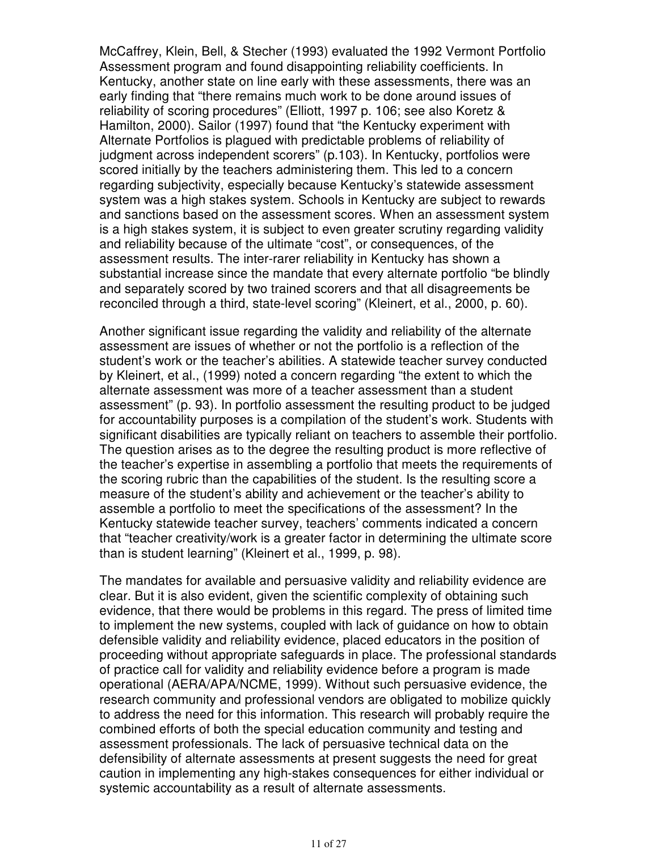McCaffrey, Klein, Bell, & Stecher (1993) evaluated the 1992 Vermont Portfolio Assessment program and found disappointing reliability coefficients. In Kentucky, another state on line early with these assessments, there was an early finding that "there remains much work to be done around issues of reliability of scoring procedures" (Elliott, 1997 p. 106; see also Koretz & Hamilton, 2000). Sailor (1997) found that "the Kentucky experiment with Alternate Portfolios is plagued with predictable problems of reliability of judgment across independent scorers" (p.103). In Kentucky, portfolios were scored initially by the teachers administering them. This led to a concern regarding subjectivity, especially because Kentucky's statewide assessment system was a high stakes system. Schools in Kentucky are subject to rewards and sanctions based on the assessment scores. When an assessment system is a high stakes system, it is subject to even greater scrutiny regarding validity and reliability because of the ultimate "cost", or consequences, of the assessment results. The inter-rarer reliability in Kentucky has shown a substantial increase since the mandate that every alternate portfolio "be blindly and separately scored by two trained scorers and that all disagreements be reconciled through a third, state-level scoring" (Kleinert, et al., 2000, p. 60).

Another significant issue regarding the validity and reliability of the alternate assessment are issues of whether or not the portfolio is a reflection of the student's work or the teacher's abilities. A statewide teacher survey conducted by Kleinert, et al., (1999) noted a concern regarding "the extent to which the alternate assessment was more of a teacher assessment than a student assessment" (p. 93). In portfolio assessment the resulting product to be judged for accountability purposes is a compilation of the student's work. Students with significant disabilities are typically reliant on teachers to assemble their portfolio. The question arises as to the degree the resulting product is more reflective of the teacher's expertise in assembling a portfolio that meets the requirements of the scoring rubric than the capabilities of the student. Is the resulting score a measure of the student's ability and achievement or the teacher's ability to assemble a portfolio to meet the specifications of the assessment? In the Kentucky statewide teacher survey, teachers' comments indicated a concern that "teacher creativity/work is a greater factor in determining the ultimate score than is student learning" (Kleinert et al., 1999, p. 98).

The mandates for available and persuasive validity and reliability evidence are clear. But it is also evident, given the scientific complexity of obtaining such evidence, that there would be problems in this regard. The press of limited time to implement the new systems, coupled with lack of guidance on how to obtain defensible validity and reliability evidence, placed educators in the position of proceeding without appropriate safeguards in place. The professional standards of practice call for validity and reliability evidence before a program is made operational (AERA/APA/NCME, 1999). Without such persuasive evidence, the research community and professional vendors are obligated to mobilize quickly to address the need for this information. This research will probably require the combined efforts of both the special education community and testing and assessment professionals. The lack of persuasive technical data on the defensibility of alternate assessments at present suggests the need for great caution in implementing any high-stakes consequences for either individual or systemic accountability as a result of alternate assessments.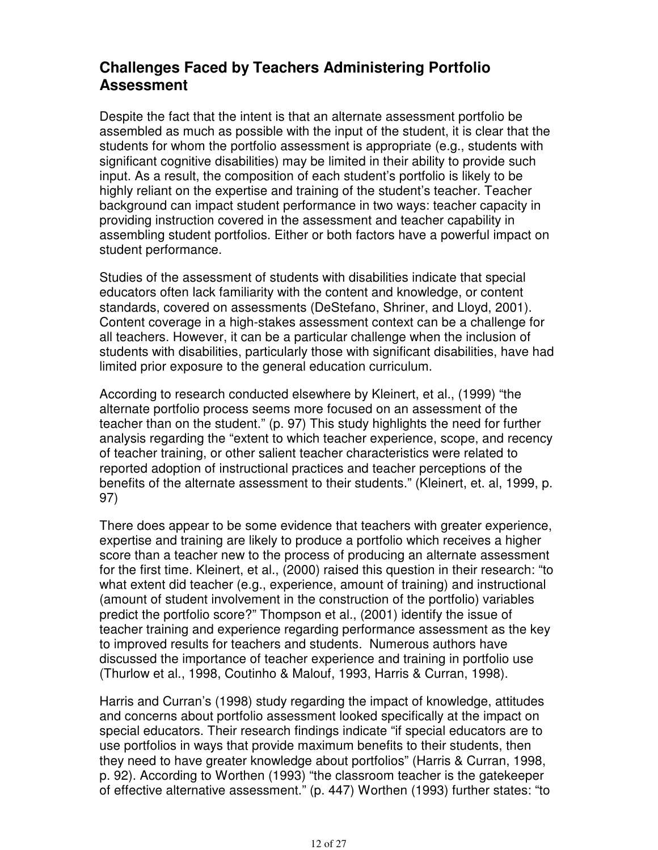## **Challenges Faced by Teachers Administering Portfolio Assessment**

Despite the fact that the intent is that an alternate assessment portfolio be assembled as much as possible with the input of the student, it is clear that the students for whom the portfolio assessment is appropriate (e.g., students with significant cognitive disabilities) may be limited in their ability to provide such input. As a result, the composition of each student's portfolio is likely to be highly reliant on the expertise and training of the student's teacher. Teacher background can impact student performance in two ways: teacher capacity in providing instruction covered in the assessment and teacher capability in assembling student portfolios. Either or both factors have a powerful impact on student performance.

Studies of the assessment of students with disabilities indicate that special educators often lack familiarity with the content and knowledge, or content standards, covered on assessments (DeStefano, Shriner, and Lloyd, 2001). Content coverage in a high-stakes assessment context can be a challenge for all teachers. However, it can be a particular challenge when the inclusion of students with disabilities, particularly those with significant disabilities, have had limited prior exposure to the general education curriculum.

According to research conducted elsewhere by Kleinert, et al., (1999) "the alternate portfolio process seems more focused on an assessment of the teacher than on the student." (p. 97) This study highlights the need for further analysis regarding the "extent to which teacher experience, scope, and recency of teacher training, or other salient teacher characteristics were related to reported adoption of instructional practices and teacher perceptions of the benefits of the alternate assessment to their students." (Kleinert, et. al, 1999, p. 97)

There does appear to be some evidence that teachers with greater experience, expertise and training are likely to produce a portfolio which receives a higher score than a teacher new to the process of producing an alternate assessment for the first time. Kleinert, et al., (2000) raised this question in their research: "to what extent did teacher (e.g., experience, amount of training) and instructional (amount of student involvement in the construction of the portfolio) variables predict the portfolio score?" Thompson et al., (2001) identify the issue of teacher training and experience regarding performance assessment as the key to improved results for teachers and students. Numerous authors have discussed the importance of teacher experience and training in portfolio use (Thurlow et al., 1998, Coutinho & Malouf, 1993, Harris & Curran, 1998).

Harris and Curran's (1998) study regarding the impact of knowledge, attitudes and concerns about portfolio assessment looked specifically at the impact on special educators. Their research findings indicate "if special educators are to use portfolios in ways that provide maximum benefits to their students, then they need to have greater knowledge about portfolios" (Harris & Curran, 1998, p. 92). According to Worthen (1993) "the classroom teacher is the gatekeeper of effective alternative assessment." (p. 447) Worthen (1993) further states: "to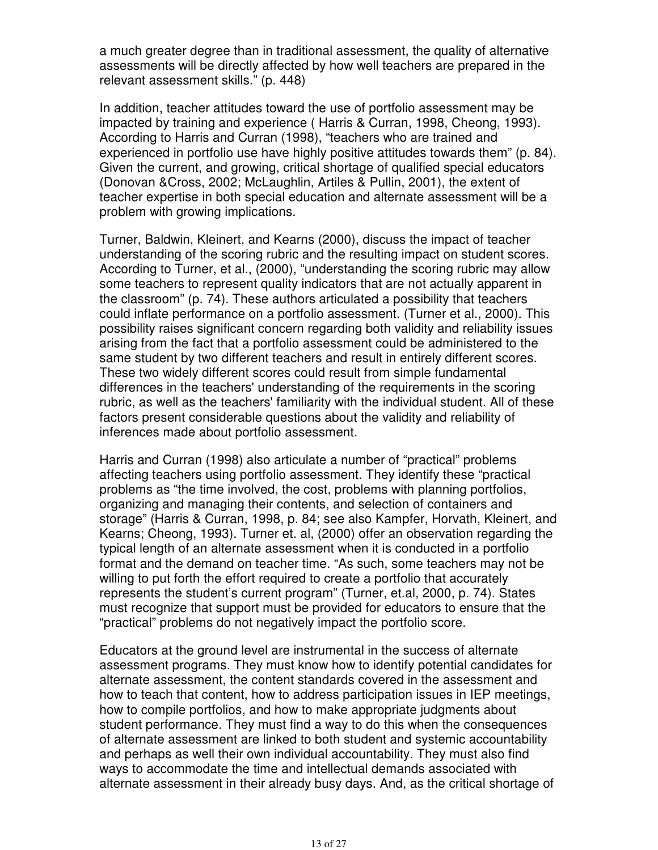a much greater degree than in traditional assessment, the quality of alternative assessments will be directly affected by how well teachers are prepared in the relevant assessment skills." (p. 448)

In addition, teacher attitudes toward the use of portfolio assessment may be impacted by training and experience ( Harris & Curran, 1998, Cheong, 1993). According to Harris and Curran (1998), "teachers who are trained and experienced in portfolio use have highly positive attitudes towards them" (p. 84). Given the current, and growing, critical shortage of qualified special educators (Donovan &Cross, 2002; McLaughlin, Artiles & Pullin, 2001), the extent of teacher expertise in both special education and alternate assessment will be a problem with growing implications.

Turner, Baldwin, Kleinert, and Kearns (2000), discuss the impact of teacher understanding of the scoring rubric and the resulting impact on student scores. According to Turner, et al., (2000), "understanding the scoring rubric may allow some teachers to represent quality indicators that are not actually apparent in the classroom" (p. 74). These authors articulated a possibility that teachers could inflate performance on a portfolio assessment. (Turner et al., 2000). This possibility raises significant concern regarding both validity and reliability issues arising from the fact that a portfolio assessment could be administered to the same student by two different teachers and result in entirely different scores. These two widely different scores could result from simple fundamental differences in the teachers' understanding of the requirements in the scoring rubric, as well as the teachers' familiarity with the individual student. All of these factors present considerable questions about the validity and reliability of inferences made about portfolio assessment.

Harris and Curran (1998) also articulate a number of "practical" problems affecting teachers using portfolio assessment. They identify these "practical problems as "the time involved, the cost, problems with planning portfolios, organizing and managing their contents, and selection of containers and storage" (Harris & Curran, 1998, p. 84; see also Kampfer, Horvath, Kleinert, and Kearns; Cheong, 1993). Turner et. al, (2000) offer an observation regarding the typical length of an alternate assessment when it is conducted in a portfolio format and the demand on teacher time. "As such, some teachers may not be willing to put forth the effort required to create a portfolio that accurately represents the student's current program" (Turner, et.al, 2000, p. 74). States must recognize that support must be provided for educators to ensure that the "practical" problems do not negatively impact the portfolio score.

Educators at the ground level are instrumental in the success of alternate assessment programs. They must know how to identify potential candidates for alternate assessment, the content standards covered in the assessment and how to teach that content, how to address participation issues in IEP meetings, how to compile portfolios, and how to make appropriate judgments about student performance. They must find a way to do this when the consequences of alternate assessment are linked to both student and systemic accountability and perhaps as well their own individual accountability. They must also find ways to accommodate the time and intellectual demands associated with alternate assessment in their already busy days. And, as the critical shortage of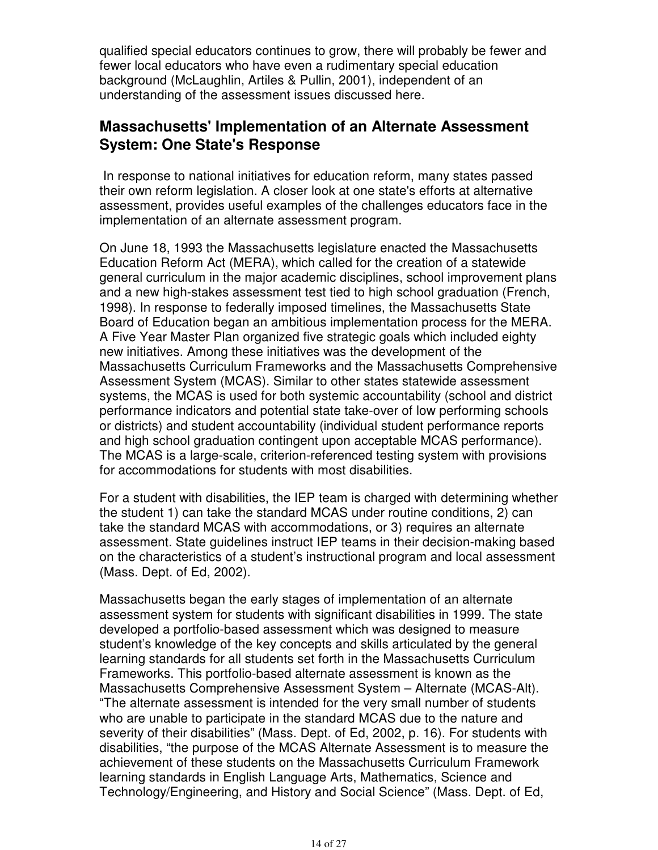qualified special educators continues to grow, there will probably be fewer and fewer local educators who have even a rudimentary special education background (McLaughlin, Artiles & Pullin, 2001), independent of an understanding of the assessment issues discussed here.

#### **Massachusetts' Implementation of an Alternate Assessment System: One State's Response**

 In response to national initiatives for education reform, many states passed their own reform legislation. A closer look at one state's efforts at alternative assessment, provides useful examples of the challenges educators face in the implementation of an alternate assessment program.

On June 18, 1993 the Massachusetts legislature enacted the Massachusetts Education Reform Act (MERA), which called for the creation of a statewide general curriculum in the major academic disciplines, school improvement plans and a new high-stakes assessment test tied to high school graduation (French, 1998). In response to federally imposed timelines, the Massachusetts State Board of Education began an ambitious implementation process for the MERA. A Five Year Master Plan organized five strategic goals which included eighty new initiatives. Among these initiatives was the development of the Massachusetts Curriculum Frameworks and the Massachusetts Comprehensive Assessment System (MCAS). Similar to other states statewide assessment systems, the MCAS is used for both systemic accountability (school and district performance indicators and potential state take-over of low performing schools or districts) and student accountability (individual student performance reports and high school graduation contingent upon acceptable MCAS performance). The MCAS is a large-scale, criterion-referenced testing system with provisions for accommodations for students with most disabilities.

For a student with disabilities, the IEP team is charged with determining whether the student 1) can take the standard MCAS under routine conditions, 2) can take the standard MCAS with accommodations, or 3) requires an alternate assessment. State guidelines instruct IEP teams in their decision-making based on the characteristics of a student's instructional program and local assessment (Mass. Dept. of Ed, 2002).

Massachusetts began the early stages of implementation of an alternate assessment system for students with significant disabilities in 1999. The state developed a portfolio-based assessment which was designed to measure student's knowledge of the key concepts and skills articulated by the general learning standards for all students set forth in the Massachusetts Curriculum Frameworks. This portfolio-based alternate assessment is known as the Massachusetts Comprehensive Assessment System – Alternate (MCAS-Alt). "The alternate assessment is intended for the very small number of students who are unable to participate in the standard MCAS due to the nature and severity of their disabilities" (Mass. Dept. of Ed, 2002, p. 16). For students with disabilities, "the purpose of the MCAS Alternate Assessment is to measure the achievement of these students on the Massachusetts Curriculum Framework learning standards in English Language Arts, Mathematics, Science and Technology/Engineering, and History and Social Science" (Mass. Dept. of Ed,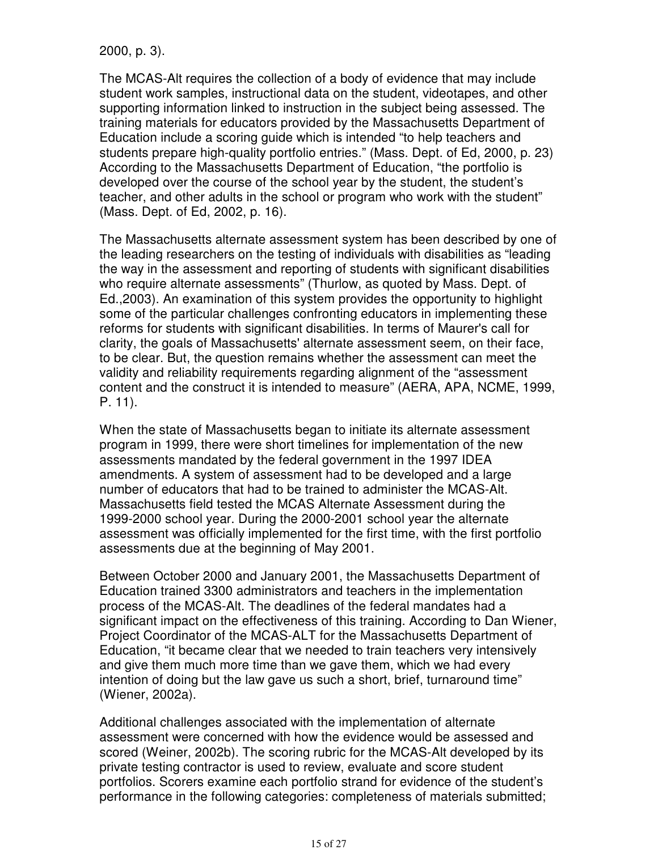2000, p. 3).

The MCAS-Alt requires the collection of a body of evidence that may include student work samples, instructional data on the student, videotapes, and other supporting information linked to instruction in the subject being assessed. The training materials for educators provided by the Massachusetts Department of Education include a scoring guide which is intended "to help teachers and students prepare high-quality portfolio entries." (Mass. Dept. of Ed, 2000, p. 23) According to the Massachusetts Department of Education, "the portfolio is developed over the course of the school year by the student, the student's teacher, and other adults in the school or program who work with the student" (Mass. Dept. of Ed, 2002, p. 16).

The Massachusetts alternate assessment system has been described by one of the leading researchers on the testing of individuals with disabilities as "leading the way in the assessment and reporting of students with significant disabilities who require alternate assessments" (Thurlow, as quoted by Mass. Dept. of Ed.,2003). An examination of this system provides the opportunity to highlight some of the particular challenges confronting educators in implementing these reforms for students with significant disabilities. In terms of Maurer's call for clarity, the goals of Massachusetts' alternate assessment seem, on their face, to be clear. But, the question remains whether the assessment can meet the validity and reliability requirements regarding alignment of the "assessment content and the construct it is intended to measure" (AERA, APA, NCME, 1999, P. 11).

When the state of Massachusetts began to initiate its alternate assessment program in 1999, there were short timelines for implementation of the new assessments mandated by the federal government in the 1997 IDEA amendments. A system of assessment had to be developed and a large number of educators that had to be trained to administer the MCAS-Alt. Massachusetts field tested the MCAS Alternate Assessment during the 1999-2000 school year. During the 2000-2001 school year the alternate assessment was officially implemented for the first time, with the first portfolio assessments due at the beginning of May 2001.

Between October 2000 and January 2001, the Massachusetts Department of Education trained 3300 administrators and teachers in the implementation process of the MCAS-Alt. The deadlines of the federal mandates had a significant impact on the effectiveness of this training. According to Dan Wiener, Project Coordinator of the MCAS-ALT for the Massachusetts Department of Education, "it became clear that we needed to train teachers very intensively and give them much more time than we gave them, which we had every intention of doing but the law gave us such a short, brief, turnaround time" (Wiener, 2002a).

Additional challenges associated with the implementation of alternate assessment were concerned with how the evidence would be assessed and scored (Weiner, 2002b). The scoring rubric for the MCAS-Alt developed by its private testing contractor is used to review, evaluate and score student portfolios. Scorers examine each portfolio strand for evidence of the student's performance in the following categories: completeness of materials submitted;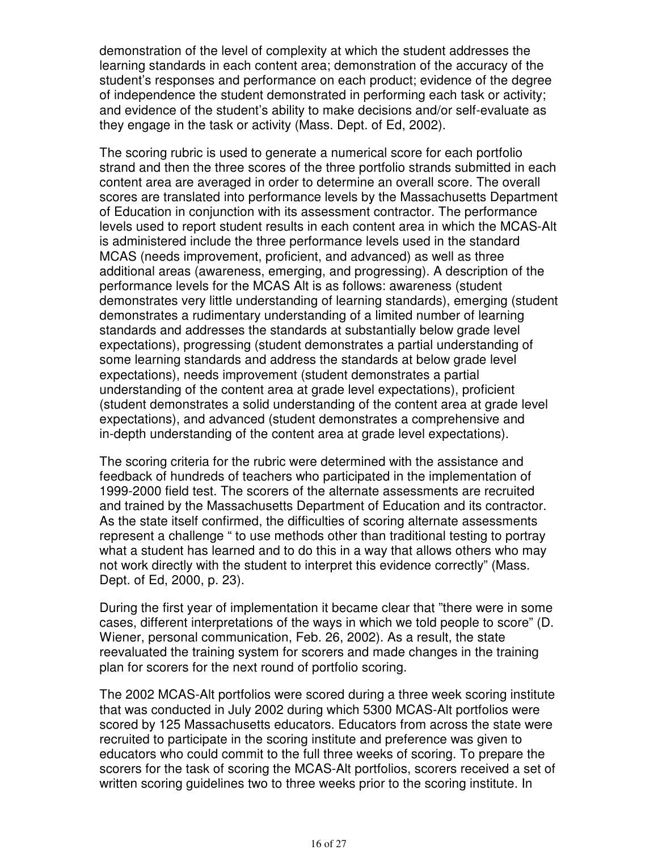demonstration of the level of complexity at which the student addresses the learning standards in each content area; demonstration of the accuracy of the student's responses and performance on each product; evidence of the degree of independence the student demonstrated in performing each task or activity; and evidence of the student's ability to make decisions and/or self-evaluate as they engage in the task or activity (Mass. Dept. of Ed, 2002).

The scoring rubric is used to generate a numerical score for each portfolio strand and then the three scores of the three portfolio strands submitted in each content area are averaged in order to determine an overall score. The overall scores are translated into performance levels by the Massachusetts Department of Education in conjunction with its assessment contractor. The performance levels used to report student results in each content area in which the MCAS-Alt is administered include the three performance levels used in the standard MCAS (needs improvement, proficient, and advanced) as well as three additional areas (awareness, emerging, and progressing). A description of the performance levels for the MCAS Alt is as follows: awareness (student demonstrates very little understanding of learning standards), emerging (student demonstrates a rudimentary understanding of a limited number of learning standards and addresses the standards at substantially below grade level expectations), progressing (student demonstrates a partial understanding of some learning standards and address the standards at below grade level expectations), needs improvement (student demonstrates a partial understanding of the content area at grade level expectations), proficient (student demonstrates a solid understanding of the content area at grade level expectations), and advanced (student demonstrates a comprehensive and in-depth understanding of the content area at grade level expectations).

The scoring criteria for the rubric were determined with the assistance and feedback of hundreds of teachers who participated in the implementation of 1999-2000 field test. The scorers of the alternate assessments are recruited and trained by the Massachusetts Department of Education and its contractor. As the state itself confirmed, the difficulties of scoring alternate assessments represent a challenge " to use methods other than traditional testing to portray what a student has learned and to do this in a way that allows others who may not work directly with the student to interpret this evidence correctly" (Mass. Dept. of Ed, 2000, p. 23).

During the first year of implementation it became clear that "there were in some cases, different interpretations of the ways in which we told people to score" (D. Wiener, personal communication, Feb. 26, 2002). As a result, the state reevaluated the training system for scorers and made changes in the training plan for scorers for the next round of portfolio scoring.

The 2002 MCAS-Alt portfolios were scored during a three week scoring institute that was conducted in July 2002 during which 5300 MCAS-Alt portfolios were scored by 125 Massachusetts educators. Educators from across the state were recruited to participate in the scoring institute and preference was given to educators who could commit to the full three weeks of scoring. To prepare the scorers for the task of scoring the MCAS-Alt portfolios, scorers received a set of written scoring guidelines two to three weeks prior to the scoring institute. In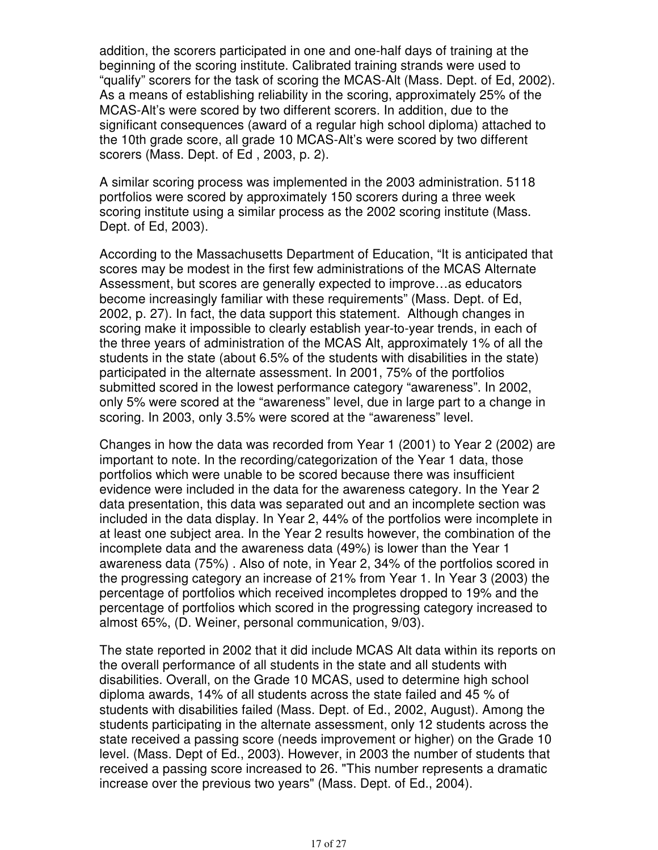addition, the scorers participated in one and one-half days of training at the beginning of the scoring institute. Calibrated training strands were used to "qualify" scorers for the task of scoring the MCAS-Alt (Mass. Dept. of Ed, 2002). As a means of establishing reliability in the scoring, approximately 25% of the MCAS-Alt's were scored by two different scorers. In addition, due to the significant consequences (award of a regular high school diploma) attached to the 10th grade score, all grade 10 MCAS-Alt's were scored by two different scorers (Mass. Dept. of Ed , 2003, p. 2).

A similar scoring process was implemented in the 2003 administration. 5118 portfolios were scored by approximately 150 scorers during a three week scoring institute using a similar process as the 2002 scoring institute (Mass. Dept. of Ed, 2003).

According to the Massachusetts Department of Education, "It is anticipated that scores may be modest in the first few administrations of the MCAS Alternate Assessment, but scores are generally expected to improve…as educators become increasingly familiar with these requirements" (Mass. Dept. of Ed, 2002, p. 27). In fact, the data support this statement. Although changes in scoring make it impossible to clearly establish year-to-year trends, in each of the three years of administration of the MCAS Alt, approximately 1% of all the students in the state (about 6.5% of the students with disabilities in the state) participated in the alternate assessment. In 2001, 75% of the portfolios submitted scored in the lowest performance category "awareness". In 2002, only 5% were scored at the "awareness" level, due in large part to a change in scoring. In 2003, only 3.5% were scored at the "awareness" level.

Changes in how the data was recorded from Year 1 (2001) to Year 2 (2002) are important to note. In the recording/categorization of the Year 1 data, those portfolios which were unable to be scored because there was insufficient evidence were included in the data for the awareness category. In the Year 2 data presentation, this data was separated out and an incomplete section was included in the data display. In Year 2, 44% of the portfolios were incomplete in at least one subject area. In the Year 2 results however, the combination of the incomplete data and the awareness data (49%) is lower than the Year 1 awareness data (75%) . Also of note, in Year 2, 34% of the portfolios scored in the progressing category an increase of 21% from Year 1. In Year 3 (2003) the percentage of portfolios which received incompletes dropped to 19% and the percentage of portfolios which scored in the progressing category increased to almost 65%, (D. Weiner, personal communication, 9/03).

The state reported in 2002 that it did include MCAS Alt data within its reports on the overall performance of all students in the state and all students with disabilities. Overall, on the Grade 10 MCAS, used to determine high school diploma awards, 14% of all students across the state failed and 45 % of students with disabilities failed (Mass. Dept. of Ed., 2002, August). Among the students participating in the alternate assessment, only 12 students across the state received a passing score (needs improvement or higher) on the Grade 10 level. (Mass. Dept of Ed., 2003). However, in 2003 the number of students that received a passing score increased to 26. "This number represents a dramatic increase over the previous two years" (Mass. Dept. of Ed., 2004).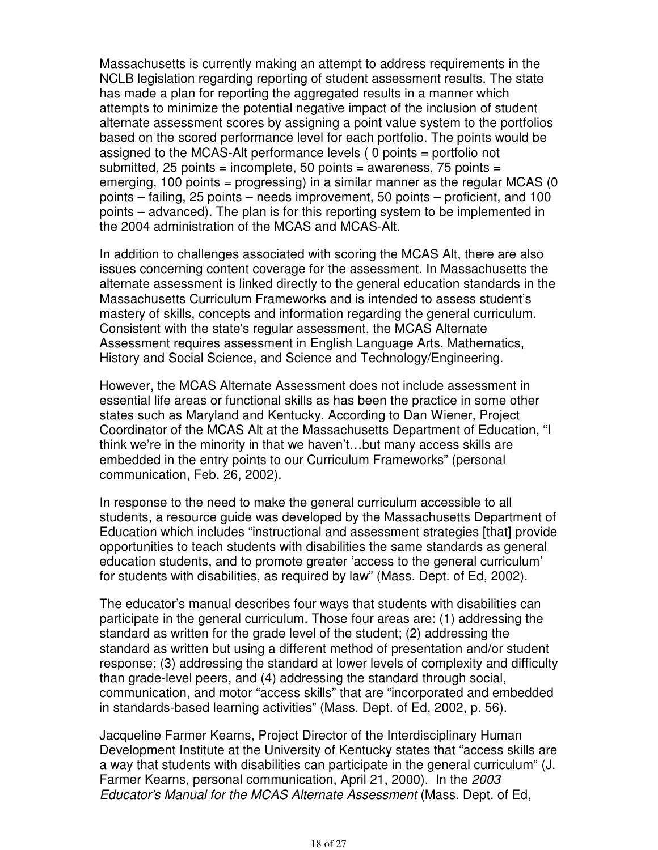Massachusetts is currently making an attempt to address requirements in the NCLB legislation regarding reporting of student assessment results. The state has made a plan for reporting the aggregated results in a manner which attempts to minimize the potential negative impact of the inclusion of student alternate assessment scores by assigning a point value system to the portfolios based on the scored performance level for each portfolio. The points would be assigned to the MCAS-Alt performance levels ( 0 points = portfolio not submitted, 25 points = incomplete, 50 points =  $a$ wareness, 75 points = emerging, 100 points = progressing) in a similar manner as the regular MCAS (0 points – failing, 25 points – needs improvement, 50 points – proficient, and 100 points – advanced). The plan is for this reporting system to be implemented in the 2004 administration of the MCAS and MCAS-Alt.

In addition to challenges associated with scoring the MCAS Alt, there are also issues concerning content coverage for the assessment. In Massachusetts the alternate assessment is linked directly to the general education standards in the Massachusetts Curriculum Frameworks and is intended to assess student's mastery of skills, concepts and information regarding the general curriculum. Consistent with the state's regular assessment, the MCAS Alternate Assessment requires assessment in English Language Arts, Mathematics, History and Social Science, and Science and Technology/Engineering.

However, the MCAS Alternate Assessment does not include assessment in essential life areas or functional skills as has been the practice in some other states such as Maryland and Kentucky. According to Dan Wiener, Project Coordinator of the MCAS Alt at the Massachusetts Department of Education, "I think we're in the minority in that we haven't…but many access skills are embedded in the entry points to our Curriculum Frameworks" (personal communication, Feb. 26, 2002).

In response to the need to make the general curriculum accessible to all students, a resource guide was developed by the Massachusetts Department of Education which includes "instructional and assessment strategies [that] provide opportunities to teach students with disabilities the same standards as general education students, and to promote greater 'access to the general curriculum' for students with disabilities, as required by law" (Mass. Dept. of Ed, 2002).

The educator's manual describes four ways that students with disabilities can participate in the general curriculum. Those four areas are: (1) addressing the standard as written for the grade level of the student; (2) addressing the standard as written but using a different method of presentation and/or student response; (3) addressing the standard at lower levels of complexity and difficulty than grade-level peers, and (4) addressing the standard through social, communication, and motor "access skills" that are "incorporated and embedded in standards-based learning activities" (Mass. Dept. of Ed, 2002, p. 56).

Jacqueline Farmer Kearns, Project Director of the Interdisciplinary Human Development Institute at the University of Kentucky states that "access skills are a way that students with disabilities can participate in the general curriculum" (J. Farmer Kearns, personal communication, April 21, 2000). In the 2003 Educator's Manual for the MCAS Alternate Assessment (Mass. Dept. of Ed,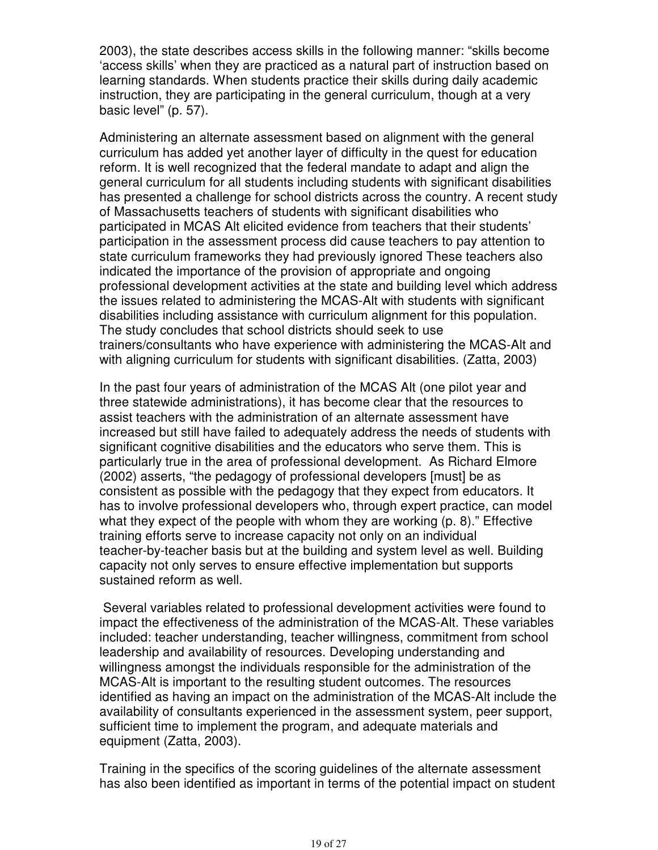2003), the state describes access skills in the following manner: "skills become 'access skills' when they are practiced as a natural part of instruction based on learning standards. When students practice their skills during daily academic instruction, they are participating in the general curriculum, though at a very basic level" (p. 57).

Administering an alternate assessment based on alignment with the general curriculum has added yet another layer of difficulty in the quest for education reform. It is well recognized that the federal mandate to adapt and align the general curriculum for all students including students with significant disabilities has presented a challenge for school districts across the country. A recent study of Massachusetts teachers of students with significant disabilities who participated in MCAS Alt elicited evidence from teachers that their students' participation in the assessment process did cause teachers to pay attention to state curriculum frameworks they had previously ignored These teachers also indicated the importance of the provision of appropriate and ongoing professional development activities at the state and building level which address the issues related to administering the MCAS-Alt with students with significant disabilities including assistance with curriculum alignment for this population. The study concludes that school districts should seek to use trainers/consultants who have experience with administering the MCAS-Alt and with aligning curriculum for students with significant disabilities. (Zatta, 2003)

In the past four years of administration of the MCAS Alt (one pilot year and three statewide administrations), it has become clear that the resources to assist teachers with the administration of an alternate assessment have increased but still have failed to adequately address the needs of students with significant cognitive disabilities and the educators who serve them. This is particularly true in the area of professional development. As Richard Elmore (2002) asserts, "the pedagogy of professional developers [must] be as consistent as possible with the pedagogy that they expect from educators. It has to involve professional developers who, through expert practice, can model what they expect of the people with whom they are working (p. 8)." Effective training efforts serve to increase capacity not only on an individual teacher-by-teacher basis but at the building and system level as well. Building capacity not only serves to ensure effective implementation but supports sustained reform as well.

 Several variables related to professional development activities were found to impact the effectiveness of the administration of the MCAS-Alt. These variables included: teacher understanding, teacher willingness, commitment from school leadership and availability of resources. Developing understanding and willingness amongst the individuals responsible for the administration of the MCAS-Alt is important to the resulting student outcomes. The resources identified as having an impact on the administration of the MCAS-Alt include the availability of consultants experienced in the assessment system, peer support, sufficient time to implement the program, and adequate materials and equipment (Zatta, 2003).

Training in the specifics of the scoring guidelines of the alternate assessment has also been identified as important in terms of the potential impact on student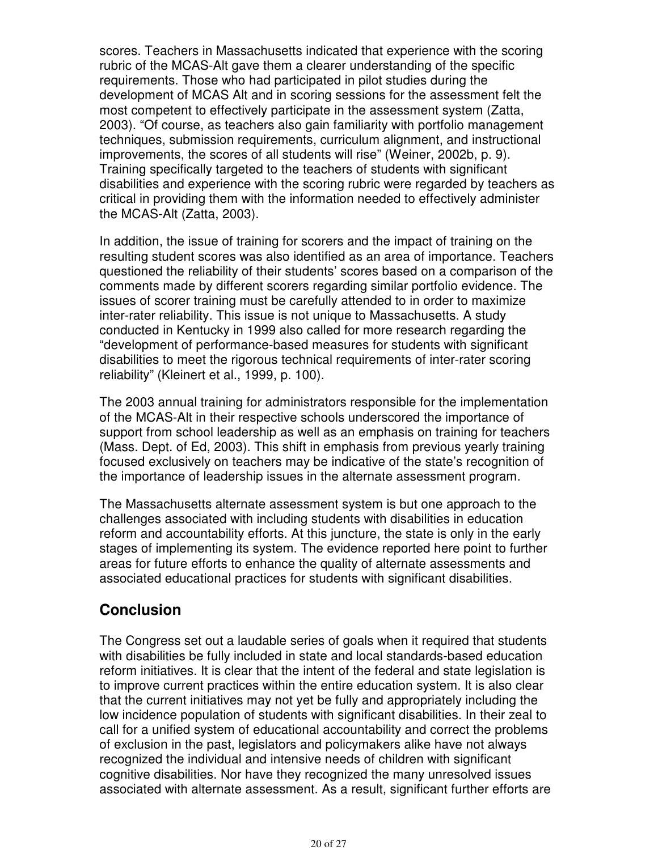scores. Teachers in Massachusetts indicated that experience with the scoring rubric of the MCAS-Alt gave them a clearer understanding of the specific requirements. Those who had participated in pilot studies during the development of MCAS Alt and in scoring sessions for the assessment felt the most competent to effectively participate in the assessment system (Zatta, 2003). "Of course, as teachers also gain familiarity with portfolio management techniques, submission requirements, curriculum alignment, and instructional improvements, the scores of all students will rise" (Weiner, 2002b, p. 9). Training specifically targeted to the teachers of students with significant disabilities and experience with the scoring rubric were regarded by teachers as critical in providing them with the information needed to effectively administer the MCAS-Alt (Zatta, 2003).

In addition, the issue of training for scorers and the impact of training on the resulting student scores was also identified as an area of importance. Teachers questioned the reliability of their students' scores based on a comparison of the comments made by different scorers regarding similar portfolio evidence. The issues of scorer training must be carefully attended to in order to maximize inter-rater reliability. This issue is not unique to Massachusetts. A study conducted in Kentucky in 1999 also called for more research regarding the "development of performance-based measures for students with significant disabilities to meet the rigorous technical requirements of inter-rater scoring reliability" (Kleinert et al., 1999, p. 100).

The 2003 annual training for administrators responsible for the implementation of the MCAS-Alt in their respective schools underscored the importance of support from school leadership as well as an emphasis on training for teachers (Mass. Dept. of Ed, 2003). This shift in emphasis from previous yearly training focused exclusively on teachers may be indicative of the state's recognition of the importance of leadership issues in the alternate assessment program.

The Massachusetts alternate assessment system is but one approach to the challenges associated with including students with disabilities in education reform and accountability efforts. At this juncture, the state is only in the early stages of implementing its system. The evidence reported here point to further areas for future efforts to enhance the quality of alternate assessments and associated educational practices for students with significant disabilities.

#### **Conclusion**

The Congress set out a laudable series of goals when it required that students with disabilities be fully included in state and local standards-based education reform initiatives. It is clear that the intent of the federal and state legislation is to improve current practices within the entire education system. It is also clear that the current initiatives may not yet be fully and appropriately including the low incidence population of students with significant disabilities. In their zeal to call for a unified system of educational accountability and correct the problems of exclusion in the past, legislators and policymakers alike have not always recognized the individual and intensive needs of children with significant cognitive disabilities. Nor have they recognized the many unresolved issues associated with alternate assessment. As a result, significant further efforts are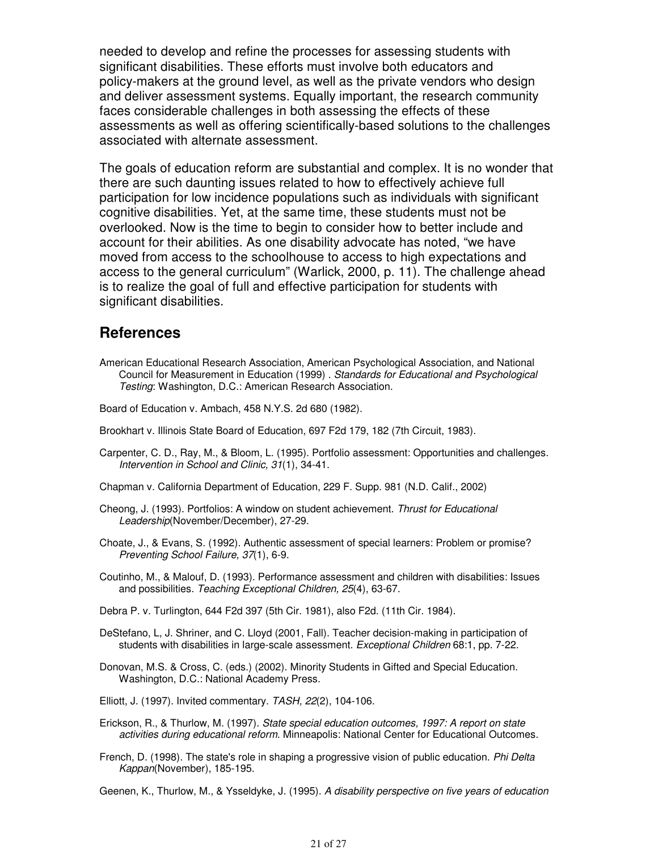needed to develop and refine the processes for assessing students with significant disabilities. These efforts must involve both educators and policy-makers at the ground level, as well as the private vendors who design and deliver assessment systems. Equally important, the research community faces considerable challenges in both assessing the effects of these assessments as well as offering scientifically-based solutions to the challenges associated with alternate assessment.

The goals of education reform are substantial and complex. It is no wonder that there are such daunting issues related to how to effectively achieve full participation for low incidence populations such as individuals with significant cognitive disabilities. Yet, at the same time, these students must not be overlooked. Now is the time to begin to consider how to better include and account for their abilities. As one disability advocate has noted, "we have moved from access to the schoolhouse to access to high expectations and access to the general curriculum" (Warlick, 2000, p. 11). The challenge ahead is to realize the goal of full and effective participation for students with significant disabilities.

#### **References**

- American Educational Research Association, American Psychological Association, and National Council for Measurement in Education (1999) . Standards for Educational and Psychological Testing: Washington, D.C.: American Research Association.
- Board of Education v. Ambach, 458 N.Y.S. 2d 680 (1982).
- Brookhart v. Illinois State Board of Education, 697 F2d 179, 182 (7th Circuit, 1983).
- Carpenter, C. D., Ray, M., & Bloom, L. (1995). Portfolio assessment: Opportunities and challenges. Intervention in School and Clinic, 31(1), 34-41.
- Chapman v. California Department of Education, 229 F. Supp. 981 (N.D. Calif., 2002)
- Cheong, J. (1993). Portfolios: A window on student achievement. Thrust for Educational Leadership(November/December), 27-29.
- Choate, J., & Evans, S. (1992). Authentic assessment of special learners: Problem or promise? Preventing School Failure, 37(1), 6-9.
- Coutinho, M., & Malouf, D. (1993). Performance assessment and children with disabilities: Issues and possibilities. Teaching Exceptional Children, 25(4), 63-67.
- Debra P. v. Turlington, 644 F2d 397 (5th Cir. 1981), also F2d. (11th Cir. 1984).
- DeStefano, L, J. Shriner, and C. Lloyd (2001, Fall). Teacher decision-making in participation of students with disabilities in large-scale assessment. Exceptional Children 68:1, pp. 7-22.
- Donovan, M.S. & Cross, C. (eds.) (2002). Minority Students in Gifted and Special Education. Washington, D.C.: National Academy Press.
- Elliott, J. (1997). Invited commentary. TASH, 22(2), 104-106.
- Erickson, R., & Thurlow, M. (1997). State special education outcomes, 1997: A report on state activities during educational reform. Minneapolis: National Center for Educational Outcomes.
- French, D. (1998). The state's role in shaping a progressive vision of public education. Phi Delta Kappan(November), 185-195.

Geenen, K., Thurlow, M., & Ysseldyke, J. (1995). A disability perspective on five years of education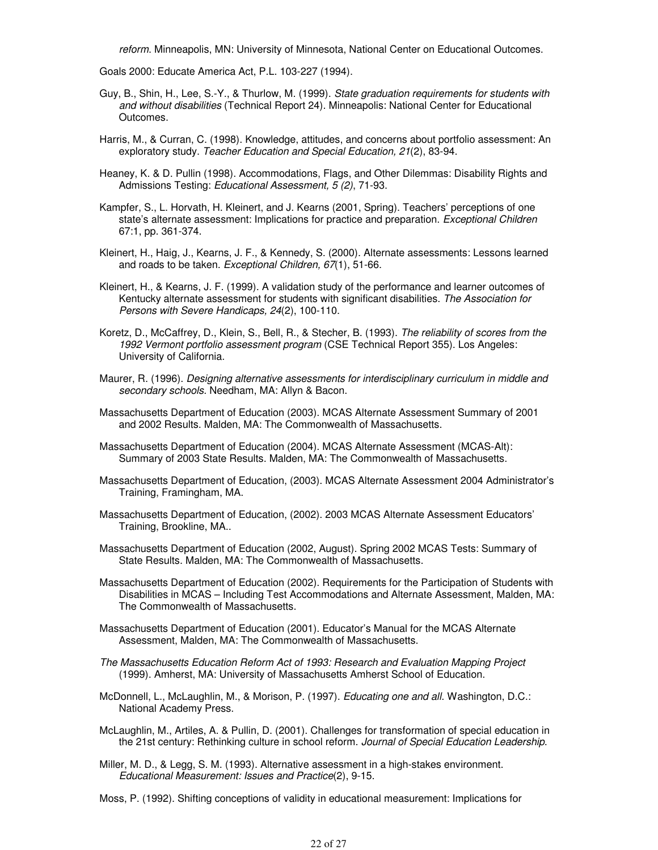reform. Minneapolis, MN: University of Minnesota, National Center on Educational Outcomes.

Goals 2000: Educate America Act, P.L. 103-227 (1994).

- Guy, B., Shin, H., Lee, S.-Y., & Thurlow, M. (1999). State graduation requirements for students with and without disabilities (Technical Report 24). Minneapolis: National Center for Educational Outcomes.
- Harris, M., & Curran, C. (1998). Knowledge, attitudes, and concerns about portfolio assessment: An exploratory study. Teacher Education and Special Education, 21(2), 83-94.
- Heaney, K. & D. Pullin (1998). Accommodations, Flags, and Other Dilemmas: Disability Rights and Admissions Testing: Educational Assessment, 5 (2), 71-93.
- Kampfer, S., L. Horvath, H. Kleinert, and J. Kearns (2001, Spring). Teachers' perceptions of one state's alternate assessment: Implications for practice and preparation. *Exceptional Children* 67:1, pp. 361-374.
- Kleinert, H., Haig, J., Kearns, J. F., & Kennedy, S. (2000). Alternate assessments: Lessons learned and roads to be taken. Exceptional Children, 67(1), 51-66.
- Kleinert, H., & Kearns, J. F. (1999). A validation study of the performance and learner outcomes of Kentucky alternate assessment for students with significant disabilities. The Association for Persons with Severe Handicaps, 24(2), 100-110.
- Koretz, D., McCaffrey, D., Klein, S., Bell, R., & Stecher, B. (1993). The reliability of scores from the 1992 Vermont portfolio assessment program (CSE Technical Report 355). Los Angeles: University of California.
- Maurer, R. (1996). Designing alternative assessments for interdisciplinary curriculum in middle and secondary schools. Needham, MA: Allyn & Bacon.
- Massachusetts Department of Education (2003). MCAS Alternate Assessment Summary of 2001 and 2002 Results. Malden, MA: The Commonwealth of Massachusetts.
- Massachusetts Department of Education (2004). MCAS Alternate Assessment (MCAS-Alt): Summary of 2003 State Results. Malden, MA: The Commonwealth of Massachusetts.
- Massachusetts Department of Education, (2003). MCAS Alternate Assessment 2004 Administrator's Training, Framingham, MA.
- Massachusetts Department of Education, (2002). 2003 MCAS Alternate Assessment Educators' Training, Brookline, MA..
- Massachusetts Department of Education (2002, August). Spring 2002 MCAS Tests: Summary of State Results. Malden, MA: The Commonwealth of Massachusetts.
- Massachusetts Department of Education (2002). Requirements for the Participation of Students with Disabilities in MCAS – Including Test Accommodations and Alternate Assessment, Malden, MA: The Commonwealth of Massachusetts.
- Massachusetts Department of Education (2001). Educator's Manual for the MCAS Alternate Assessment, Malden, MA: The Commonwealth of Massachusetts.
- The Massachusetts Education Reform Act of 1993: Research and Evaluation Mapping Project (1999). Amherst, MA: University of Massachusetts Amherst School of Education.
- McDonnell, L., McLaughlin, M., & Morison, P. (1997). Educating one and all. Washington, D.C.: National Academy Press.
- McLaughlin, M., Artiles, A. & Pullin, D. (2001). Challenges for transformation of special education in the 21st century: Rethinking culture in school reform. Journal of Special Education Leadership.
- Miller, M. D., & Legg, S. M. (1993). Alternative assessment in a high-stakes environment. Educational Measurement: Issues and Practice(2), 9-15.

Moss, P. (1992). Shifting conceptions of validity in educational measurement: Implications for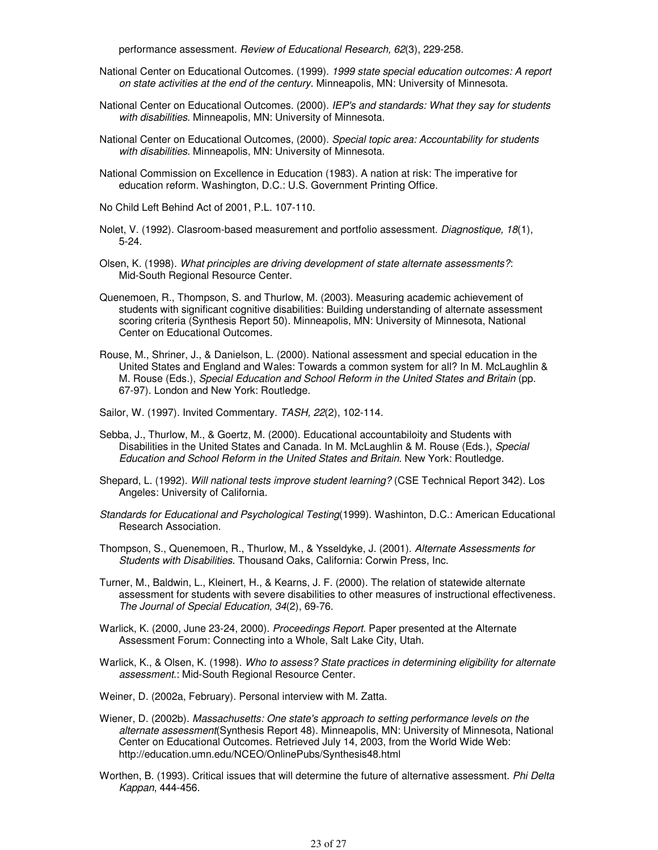performance assessment. Review of Educational Research, 62(3), 229-258.

- National Center on Educational Outcomes. (1999). 1999 state special education outcomes: A report on state activities at the end of the century. Minneapolis, MN: University of Minnesota.
- National Center on Educational Outcomes. (2000). IEP's and standards: What they say for students with disabilities. Minneapolis, MN: University of Minnesota.
- National Center on Educational Outcomes, (2000). Special topic area: Accountability for students with disabilities. Minneapolis, MN: University of Minnesota.
- National Commission on Excellence in Education (1983). A nation at risk: The imperative for education reform. Washington, D.C.: U.S. Government Printing Office.
- No Child Left Behind Act of 2001, P.L. 107-110.
- Nolet, V. (1992). Clasroom-based measurement and portfolio assessment. Diagnostique, 18(1), 5-24.
- Olsen, K. (1998). What principles are driving development of state alternate assessments?: Mid-South Regional Resource Center.
- Quenemoen, R., Thompson, S. and Thurlow, M. (2003). Measuring academic achievement of students with significant cognitive disabilities: Building understanding of alternate assessment scoring criteria (Synthesis Report 50). Minneapolis, MN: University of Minnesota, National Center on Educational Outcomes.
- Rouse, M., Shriner, J., & Danielson, L. (2000). National assessment and special education in the United States and England and Wales: Towards a common system for all? In M. McLaughlin & M. Rouse (Eds.), Special Education and School Reform in the United States and Britain (pp. 67-97). London and New York: Routledge.
- Sailor, W. (1997). Invited Commentary. TASH, 22(2), 102-114.
- Sebba, J., Thurlow, M., & Goertz, M. (2000). Educational accountabiloity and Students with Disabilities in the United States and Canada. In M. McLaughlin & M. Rouse (Eds.), Special Education and School Reform in the United States and Britain. New York: Routledge.
- Shepard, L. (1992). Will national tests improve student learning? (CSE Technical Report 342). Los Angeles: University of California.
- Standards for Educational and Psychological Testing(1999). Washinton, D.C.: American Educational Research Association.
- Thompson, S., Quenemoen, R., Thurlow, M., & Ysseldyke, J. (2001). Alternate Assessments for Students with Disabilities. Thousand Oaks, California: Corwin Press, Inc.
- Turner, M., Baldwin, L., Kleinert, H., & Kearns, J. F. (2000). The relation of statewide alternate assessment for students with severe disabilities to other measures of instructional effectiveness. The Journal of Special Education, 34(2), 69-76.
- Warlick, K. (2000, June 23-24, 2000). Proceedings Report. Paper presented at the Alternate Assessment Forum: Connecting into a Whole, Salt Lake City, Utah.
- Warlick, K., & Olsen, K. (1998). Who to assess? State practices in determining eligibility for alternate assessment.: Mid-South Regional Resource Center.
- Weiner, D. (2002a, February). Personal interview with M. Zatta.
- Wiener, D. (2002b). Massachusetts: One state's approach to setting performance levels on the alternate assessment(Synthesis Report 48). Minneapolis, MN: University of Minnesota, National Center on Educational Outcomes. Retrieved July 14, 2003, from the World Wide Web: http://education.umn.edu/NCEO/OnlinePubs/Synthesis48.html
- Worthen, B. (1993). Critical issues that will determine the future of alternative assessment. Phi Delta Kappan, 444-456.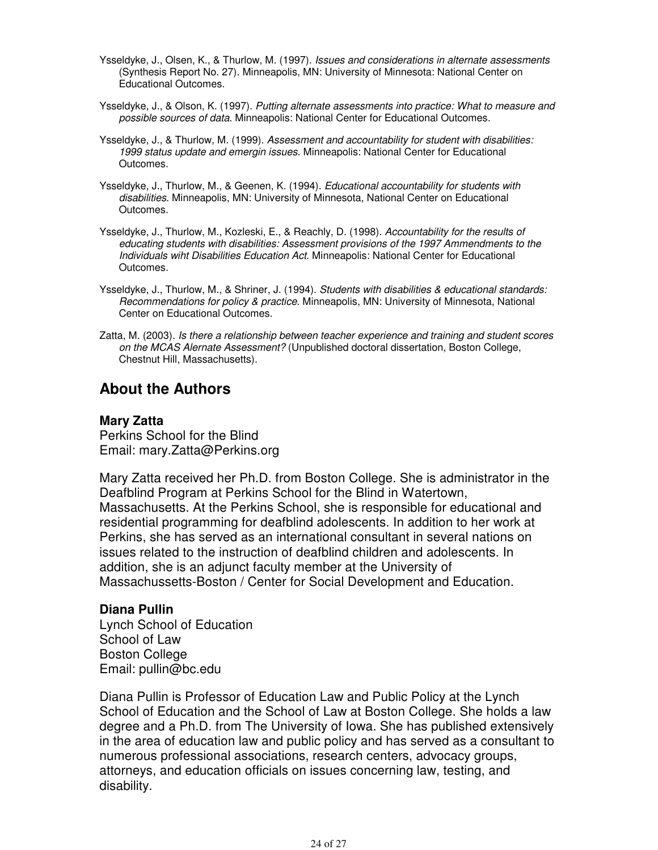- Ysseldyke, J., Olsen, K., & Thurlow, M. (1997). Issues and considerations in alternate assessments (Synthesis Report No. 27). Minneapolis, MN: University of Minnesota: National Center on Educational Outcomes.
- Ysseldyke, J., & Olson, K. (1997). Putting alternate assessments into practice: What to measure and possible sources of data. Minneapolis: National Center for Educational Outcomes.
- Ysseldyke, J., & Thurlow, M. (1999). Assessment and accountability for student with disabilities: 1999 status update and emergin issues. Minneapolis: National Center for Educational Outcomes.
- Ysseldyke, J., Thurlow, M., & Geenen, K. (1994). Educational accountability for students with disabilities. Minneapolis, MN: University of Minnesota, National Center on Educational Outcomes.
- Ysseldyke, J., Thurlow, M., Kozleski, E., & Reachly, D. (1998). Accountability for the results of educating students with disabilities: Assessment provisions of the 1997 Ammendments to the Individuals wiht Disabilities Education Act. Minneapolis: National Center for Educational Outcomes.
- Ysseldyke, J., Thurlow, M., & Shriner, J. (1994). Students with disabilities & educational standards: Recommendations for policy & practice. Minneapolis, MN: University of Minnesota, National Center on Educational Outcomes.
- Zatta, M. (2003). Is there a relationship between teacher experience and training and student scores on the MCAS Alernate Assessment? (Unpublished doctoral dissertation, Boston College, Chestnut Hill, Massachusetts).

### **About the Authors**

#### **Mary Zatta**

Perkins School for the Blind Email: mary.Zatta@Perkins.org

Mary Zatta received her Ph.D. from Boston College. She is administrator in the Deafblind Program at Perkins School for the Blind in Watertown, Massachusetts. At the Perkins School, she is responsible for educational and residential programming for deafblind adolescents. In addition to her work at Perkins, she has served as an international consultant in several nations on issues related to the instruction of deafblind children and adolescents. In addition, she is an adjunct faculty member at the University of Massachussetts-Boston / Center for Social Development and Education.

#### **Diana Pullin**

Lynch School of Education School of Law Boston College Email: pullin@bc.edu

Diana Pullin is Professor of Education Law and Public Policy at the Lynch School of Education and the School of Law at Boston College. She holds a law degree and a Ph.D. from The University of Iowa. She has published extensively in the area of education law and public policy and has served as a consultant to numerous professional associations, research centers, advocacy groups, attorneys, and education officials on issues concerning law, testing, and disability.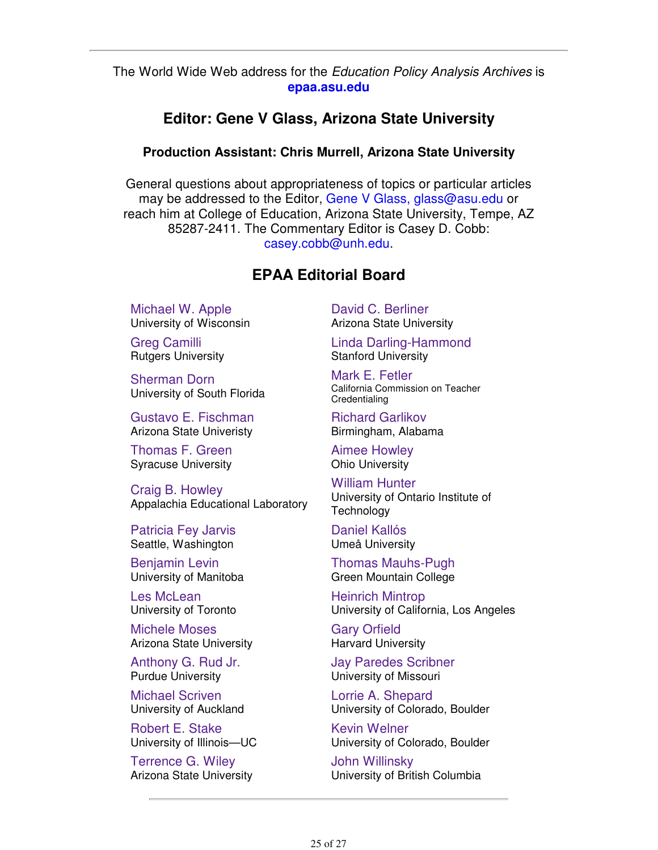#### The World Wide Web address for the Education Policy Analysis Archives is **epaa.asu.edu**

#### **Editor: Gene V Glass, Arizona State University**

#### **Production Assistant: Chris Murrell, Arizona State University**

General questions about appropriateness of topics or particular articles may be addressed to the Editor, Gene V Glass, glass@asu.edu or reach him at College of Education, Arizona State University, Tempe, AZ 85287-2411. The Commentary Editor is Casey D. Cobb: casey.cobb@unh.edu.

### **EPAA Editorial Board**

Michael W. Apple University of Wisconsin

Greg Camilli Rutgers University

Sherman Dorn University of South Florida

Gustavo E. Fischman Arizona State Univeristy

Thomas F. Green Syracuse University

Craig B. Howley Appalachia Educational Laboratory

Patricia Fey Jarvis Seattle, Washington

Benjamin Levin University of Manitoba

Les McLean University of Toronto

Michele Moses Arizona State University

Anthony G. Rud Jr. Purdue University

Michael Scriven University of Auckland

Robert E. Stake University of Illinois—UC

Terrence G. Wiley Arizona State University David C. Berliner Arizona State University

Linda Darling-Hammond Stanford University

Mark E. Fetler California Commission on Teacher **Credentialing** 

Richard Garlikov Birmingham, Alabama

Aimee Howley Ohio University

William Hunter University of Ontario Institute of **Technology** 

Daniel Kallós Umeå University

Thomas Mauhs-Pugh Green Mountain College

Heinrich Mintrop University of California, Los Angeles

Gary Orfield Harvard University

Jay Paredes Scribner University of Missouri

Lorrie A. Shepard University of Colorado, Boulder

Kevin Welner University of Colorado, Boulder

John Willinsky University of British Columbia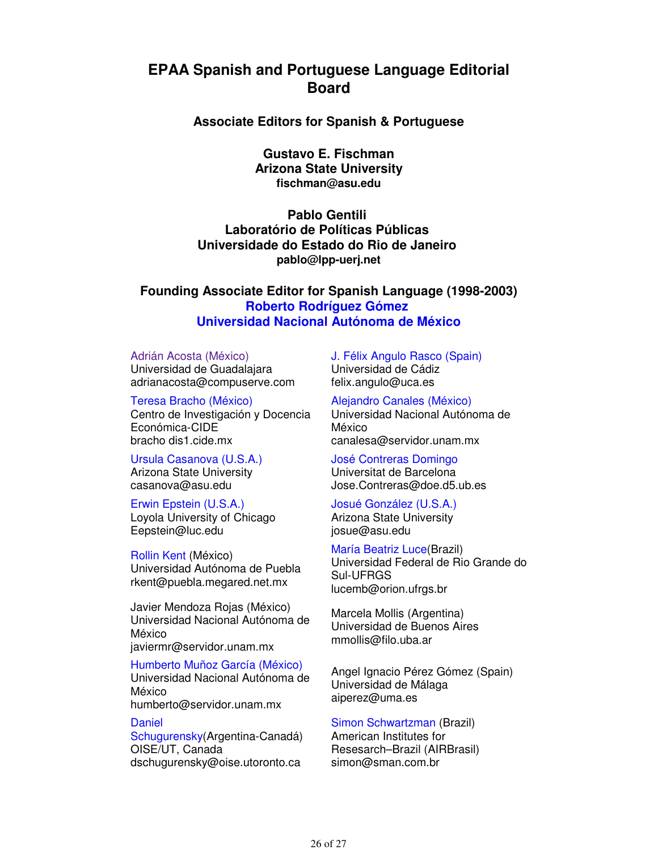### **EPAA Spanish and Portuguese Language Editorial Board**

**Associate Editors for Spanish & Portuguese**

**Gustavo E. Fischman Arizona State University fischman@asu.edu**

**Pablo Gentili Laboratório de Políticas Públicas Universidade do Estado do Rio de Janeiro pablo@lpp-uerj.net**

**Founding Associate Editor for Spanish Language (1998-2003) Roberto Rodríguez Gómez Universidad Nacional Autónoma de México**

#### Adrián Acosta (México)

Universidad de Guadalajara adrianacosta@compuserve.com

Teresa Bracho (México) Centro de Investigación y Docencia Económica-CIDE bracho dis1.cide.mx

Ursula Casanova (U.S.A.) Arizona State University casanova@asu.edu

Erwin Epstein (U.S.A.) Loyola University of Chicago Eepstein@luc.edu

Rollin Kent (México) Universidad Autónoma de Puebla rkent@puebla.megared.net.mx

Javier Mendoza Rojas (México) Universidad Nacional Autónoma de México javiermr@servidor.unam.mx

#### Humberto Muñoz García (México)

Universidad Nacional Autónoma de México

humberto@servidor.unam.mx

#### **Daniel**

Schugurensky(Argentina-Canadá) OISE/UT, Canada dschugurensky@oise.utoronto.ca

J. Félix Angulo Rasco (Spain) Universidad de Cádiz felix.angulo@uca.es

Alejandro Canales (México) Universidad Nacional Autónoma de México canalesa@servidor.unam.mx

José Contreras Domingo Universitat de Barcelona Jose.Contreras@doe.d5.ub.es

Josué González (U.S.A.) Arizona State University josue@asu.edu

María Beatriz Luce(Brazil) Universidad Federal de Rio Grande do Sul-UFRGS lucemb@orion.ufrgs.br

Marcela Mollis (Argentina) Universidad de Buenos Aires mmollis@filo.uba.ar

Angel Ignacio Pérez Gómez (Spain) Universidad de Málaga aiperez@uma.es

#### Simon Schwartzman (Brazil)

American Institutes for Resesarch–Brazil (AIRBrasil) simon@sman.com.br